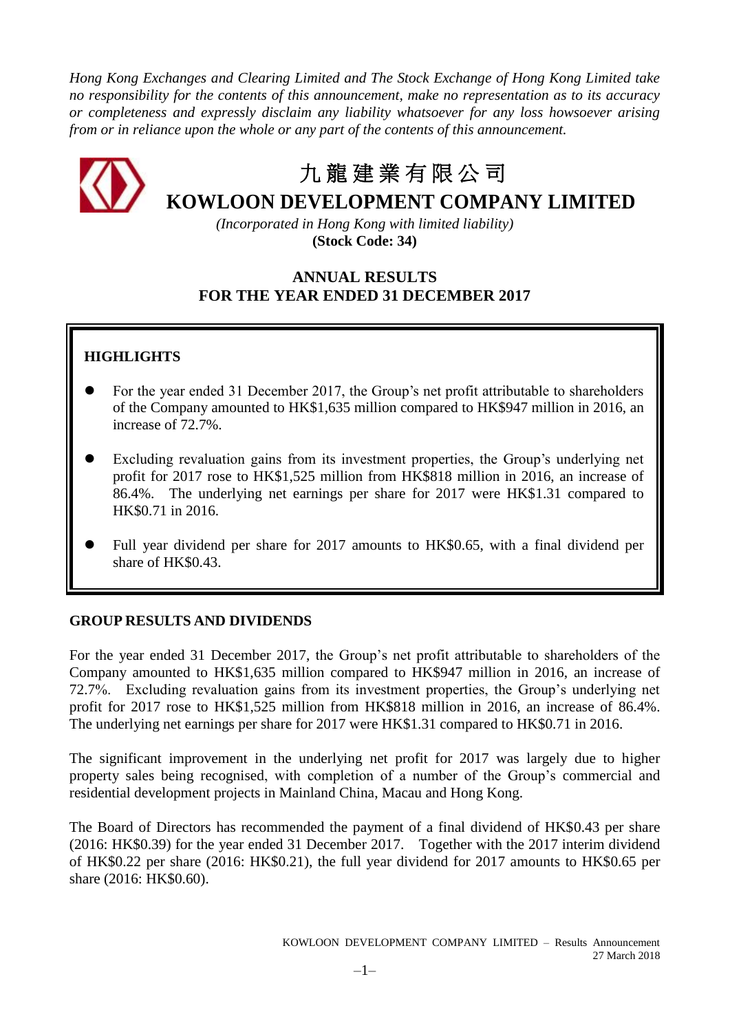*Hong Kong Exchanges and Clearing Limited and The Stock Exchange of Hong Kong Limited take no responsibility for the contents of this announcement, make no representation as to its accuracy or completeness and expressly disclaim any liability whatsoever for any loss howsoever arising from or in reliance upon the whole or any part of the contents of this announcement.*



# 九 龍 建 業 有 限 公 司

**KOWLOON DEVELOPMENT COMPANY LIMITED**

*(Incorporated in Hong Kong with limited liability)* **(Stock Code: 34)**

# **ANNUAL RESULTS FOR THE YEAR ENDED 31 DECEMBER 2017**

# **HIGHLIGHTS**

- For the year ended 31 December 2017, the Group's net profit attributable to shareholders of the Company amounted to HK\$1,635 million compared to HK\$947 million in 2016, an increase of 72.7%.
- Excluding revaluation gains from its investment properties, the Group's underlying net profit for 2017 rose to HK\$1,525 million from HK\$818 million in 2016, an increase of 86.4%. The underlying net earnings per share for 2017 were HK\$1.31 compared to HK\$0.71 in 2016.
- Full year dividend per share for 2017 amounts to HK\$0.65, with a final dividend per share of HK\$0.43.

## **GROUP RESULTS AND DIVIDENDS**

For the year ended 31 December 2017, the Group's net profit attributable to shareholders of the Company amounted to HK\$1,635 million compared to HK\$947 million in 2016, an increase of 72.7%. Excluding revaluation gains from its investment properties, the Group's underlying net profit for 2017 rose to HK\$1,525 million from HK\$818 million in 2016, an increase of 86.4%. The underlying net earnings per share for 2017 were HK\$1.31 compared to HK\$0.71 in 2016.

The significant improvement in the underlying net profit for 2017 was largely due to higher property sales being recognised, with completion of a number of the Group's commercial and residential development projects in Mainland China, Macau and Hong Kong.

The Board of Directors has recommended the payment of a final dividend of HK\$0.43 per share (2016: HK\$0.39) for the year ended 31 December 2017. Together with the 2017 interim dividend of HK\$0.22 per share (2016: HK\$0.21), the full year dividend for 2017 amounts to HK\$0.65 per share (2016: HK\$0.60).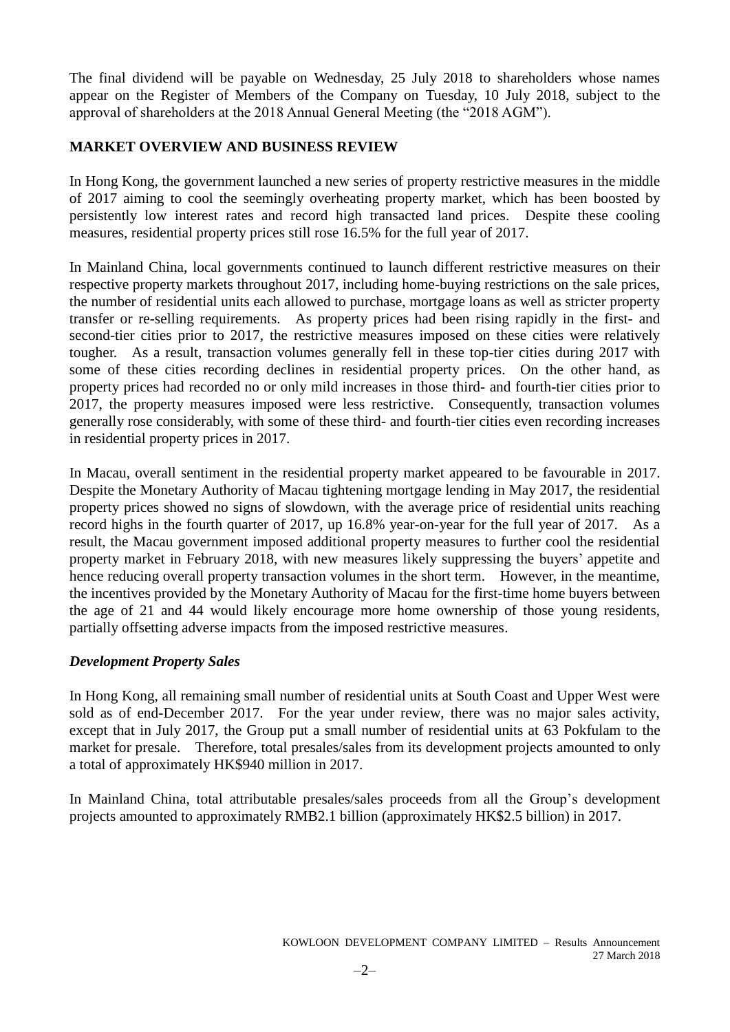The final dividend will be payable on Wednesday, 25 July 2018 to shareholders whose names appear on the Register of Members of the Company on Tuesday, 10 July 2018, subject to the approval of shareholders at the 2018 Annual General Meeting (the "2018 AGM").

### **MARKET OVERVIEW AND BUSINESS REVIEW**

In Hong Kong, the government launched a new series of property restrictive measures in the middle of 2017 aiming to cool the seemingly overheating property market, which has been boosted by persistently low interest rates and record high transacted land prices. Despite these cooling measures, residential property prices still rose 16.5% for the full year of 2017.

In Mainland China, local governments continued to launch different restrictive measures on their respective property markets throughout 2017, including home-buying restrictions on the sale prices, the number of residential units each allowed to purchase, mortgage loans as well as stricter property transfer or re-selling requirements. As property prices had been rising rapidly in the first- and second-tier cities prior to 2017, the restrictive measures imposed on these cities were relatively tougher. As a result, transaction volumes generally fell in these top-tier cities during 2017 with some of these cities recording declines in residential property prices. On the other hand, as property prices had recorded no or only mild increases in those third- and fourth-tier cities prior to 2017, the property measures imposed were less restrictive. Consequently, transaction volumes generally rose considerably, with some of these third- and fourth-tier cities even recording increases in residential property prices in 2017.

In Macau, overall sentiment in the residential property market appeared to be favourable in 2017. Despite the Monetary Authority of Macau tightening mortgage lending in May 2017, the residential property prices showed no signs of slowdown, with the average price of residential units reaching record highs in the fourth quarter of 2017, up 16.8% year-on-year for the full year of 2017. As a result, the Macau government imposed additional property measures to further cool the residential property market in February 2018, with new measures likely suppressing the buyers' appetite and hence reducing overall property transaction volumes in the short term. However, in the meantime, the incentives provided by the Monetary Authority of Macau for the first-time home buyers between the age of 21 and 44 would likely encourage more home ownership of those young residents, partially offsetting adverse impacts from the imposed restrictive measures.

### *Development Property Sales*

In Hong Kong, all remaining small number of residential units at South Coast and Upper West were sold as of end-December 2017. For the year under review, there was no major sales activity, except that in July 2017, the Group put a small number of residential units at 63 Pokfulam to the market for presale. Therefore, total presales/sales from its development projects amounted to only a total of approximately HK\$940 million in 2017.

In Mainland China, total attributable presales/sales proceeds from all the Group's development projects amounted to approximately RMB2.1 billion (approximately HK\$2.5 billion) in 2017.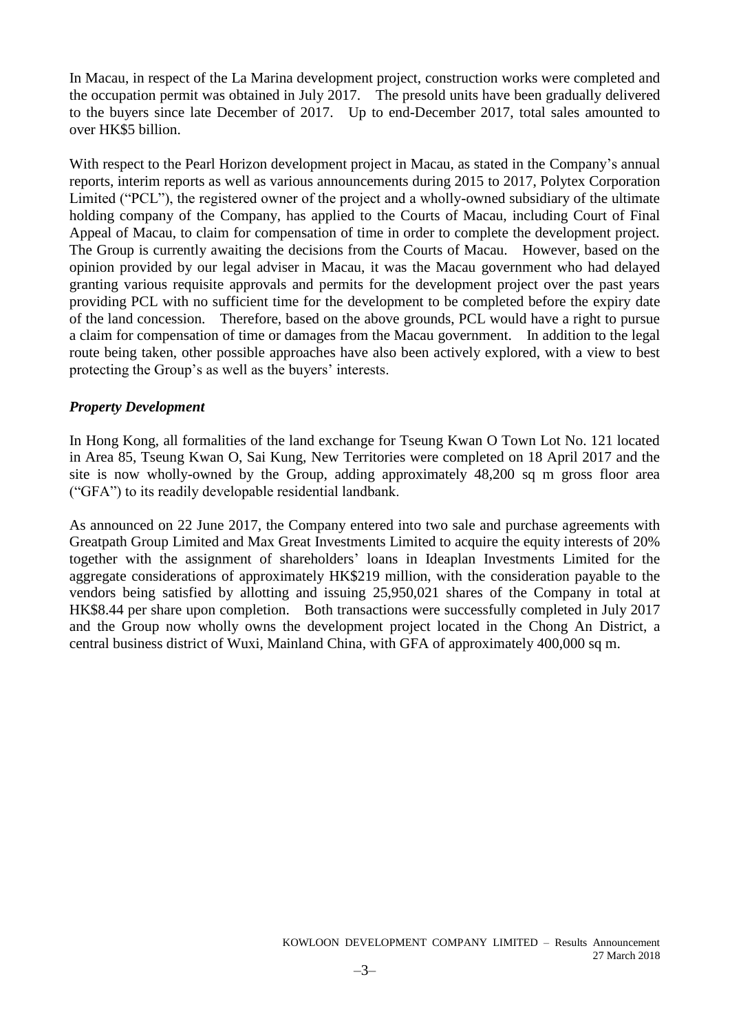In Macau, in respect of the La Marina development project, construction works were completed and the occupation permit was obtained in July 2017. The presold units have been gradually delivered to the buyers since late December of 2017. Up to end-December 2017, total sales amounted to over HK\$5 billion.

With respect to the Pearl Horizon development project in Macau, as stated in the Company's annual reports, interim reports as well as various announcements during 2015 to 2017, Polytex Corporation Limited ("PCL"), the registered owner of the project and a wholly-owned subsidiary of the ultimate holding company of the Company, has applied to the Courts of Macau, including Court of Final Appeal of Macau, to claim for compensation of time in order to complete the development project. The Group is currently awaiting the decisions from the Courts of Macau. However, based on the opinion provided by our legal adviser in Macau, it was the Macau government who had delayed granting various requisite approvals and permits for the development project over the past years providing PCL with no sufficient time for the development to be completed before the expiry date of the land concession. Therefore, based on the above grounds, PCL would have a right to pursue a claim for compensation of time or damages from the Macau government. In addition to the legal route being taken, other possible approaches have also been actively explored, with a view to best protecting the Group's as well as the buyers' interests.

### *Property Development*

In Hong Kong, all formalities of the land exchange for Tseung Kwan O Town Lot No. 121 located in Area 85, Tseung Kwan O, Sai Kung, New Territories were completed on 18 April 2017 and the site is now wholly-owned by the Group, adding approximately 48,200 sq m gross floor area ("GFA") to its readily developable residential landbank.

As announced on 22 June 2017, the Company entered into two sale and purchase agreements with Greatpath Group Limited and Max Great Investments Limited to acquire the equity interests of 20% together with the assignment of shareholders' loans in Ideaplan Investments Limited for the aggregate considerations of approximately HK\$219 million, with the consideration payable to the vendors being satisfied by allotting and issuing 25,950,021 shares of the Company in total at HK\$8.44 per share upon completion. Both transactions were successfully completed in July 2017 and the Group now wholly owns the development project located in the Chong An District, a central business district of Wuxi, Mainland China, with GFA of approximately 400,000 sq m.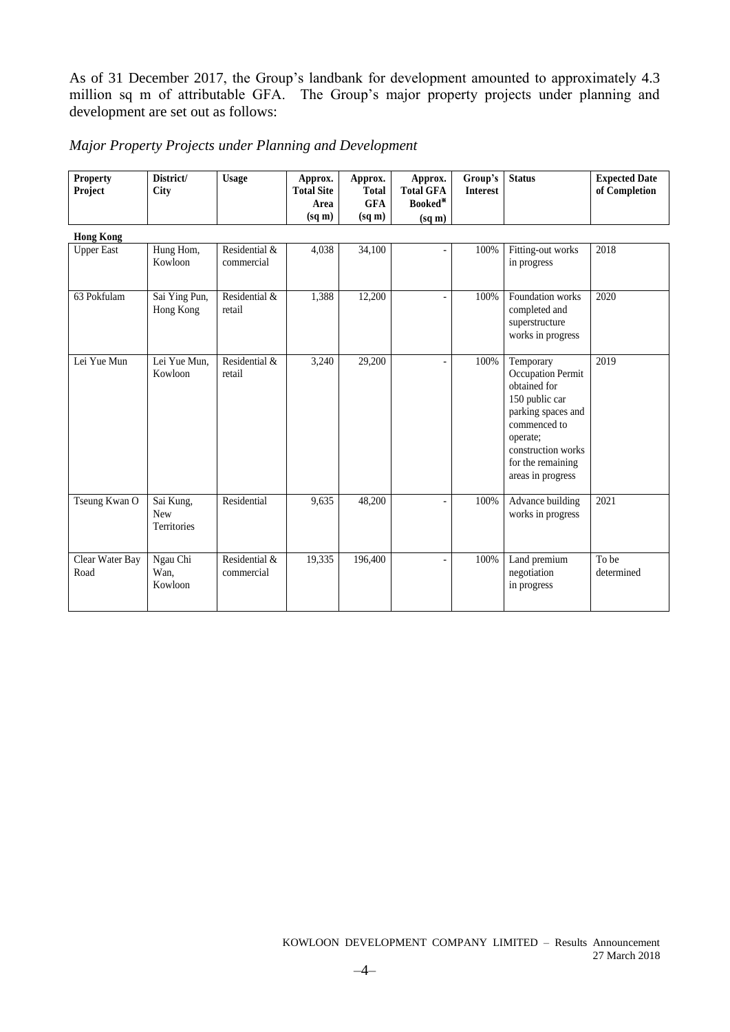As of 31 December 2017, the Group's landbank for development amounted to approximately 4.3 million sq m of attributable GFA. The Group's major property projects under planning and development are set out as follows:

| Major Property Projects under Planning and Development |  |
|--------------------------------------------------------|--|
|--------------------------------------------------------|--|

| <b>Property</b><br>Project | District/<br>City                      | <b>Usage</b>                | Approx.<br><b>Total Site</b> | Approx.<br><b>Total</b> | Approx.<br><b>Total GFA</b> | Group's<br><b>Interest</b> | <b>Status</b>                                                                                                                                                                             | <b>Expected Date</b><br>of Completion |
|----------------------------|----------------------------------------|-----------------------------|------------------------------|-------------------------|-----------------------------|----------------------------|-------------------------------------------------------------------------------------------------------------------------------------------------------------------------------------------|---------------------------------------|
|                            |                                        |                             | Area                         | <b>GFA</b>              | Booked*                     |                            |                                                                                                                                                                                           |                                       |
|                            |                                        |                             | $(sq \, \text{m})$           | $(sq \, \text{m})$      | (sq m)                      |                            |                                                                                                                                                                                           |                                       |
| <b>Hong Kong</b>           |                                        |                             |                              |                         |                             |                            |                                                                                                                                                                                           |                                       |
| <b>Upper East</b>          | Hung Hom,<br>Kowloon                   | Residential &<br>commercial | 4,038                        | 34,100                  |                             | 100%                       | Fitting-out works<br>in progress                                                                                                                                                          | 2018                                  |
| 63 Pokfulam                | Sai Ying Pun,<br>Hong Kong             | Residential &<br>retail     | 1,388                        | 12,200                  |                             | 100%                       | Foundation works<br>completed and<br>superstructure<br>works in progress                                                                                                                  | 2020                                  |
| Lei Yue Mun                | Lei Yue Mun.<br>Kowloon                | Residential &<br>retail     | 3,240                        | 29,200                  |                             | 100%                       | Temporary<br><b>Occupation Permit</b><br>obtained for<br>150 public car<br>parking spaces and<br>commenced to<br>operate;<br>construction works<br>for the remaining<br>areas in progress | 2019                                  |
| Tseung Kwan O              | Sai Kung,<br><b>New</b><br>Territories | Residential                 | 9,635                        | 48,200                  |                             | 100%                       | Advance building<br>works in progress                                                                                                                                                     | 2021                                  |
| Clear Water Bay<br>Road    | Ngau Chi<br>Wan,<br>Kowloon            | Residential &<br>commercial | 19,335                       | 196,400                 |                             | 100%                       | Land premium<br>negotiation<br>in progress                                                                                                                                                | To be<br>determined                   |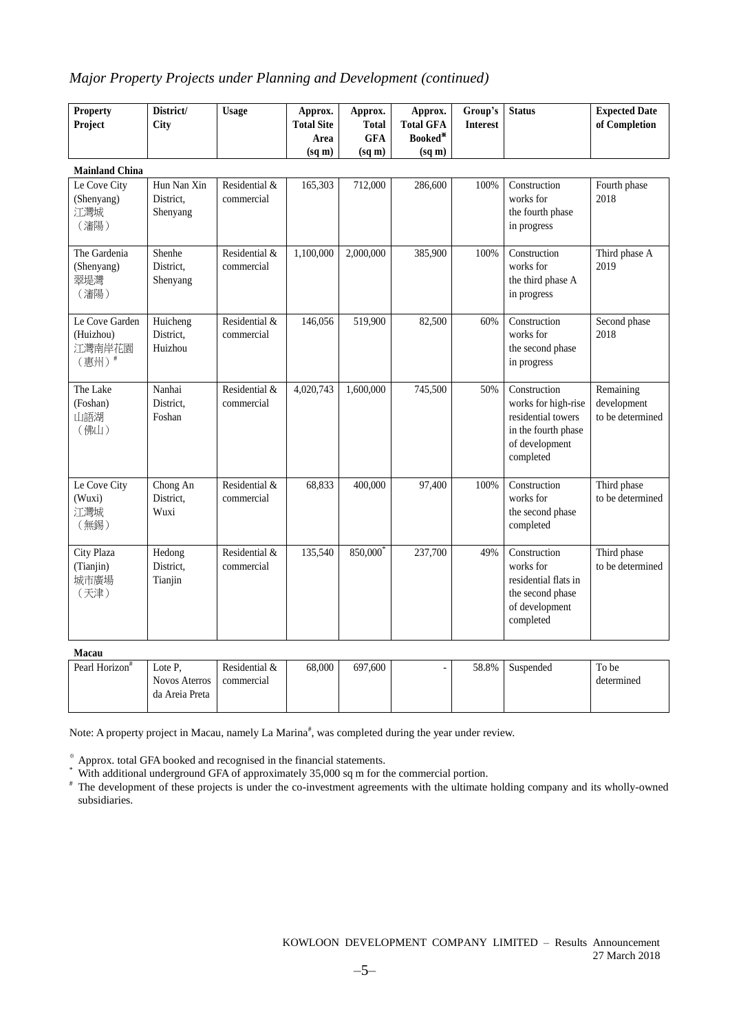### *Major Property Projects under Planning and Development (continued)*

| <b>Property</b><br>Project                     | District/<br>City                    | <b>Usage</b>                | Approx.<br><b>Total Site</b> | Approx.<br><b>Total</b> | Approx.<br><b>Total GFA</b> | Group's<br><b>Interest</b> | <b>Status</b>                                                                                                   | <b>Expected Date</b><br>of Completion        |
|------------------------------------------------|--------------------------------------|-----------------------------|------------------------------|-------------------------|-----------------------------|----------------------------|-----------------------------------------------------------------------------------------------------------------|----------------------------------------------|
|                                                |                                      |                             | Area                         | <b>GFA</b>              | Booked*                     |                            |                                                                                                                 |                                              |
|                                                |                                      |                             | $(sq \, \text{m})$           | (sq m)                  | (sq m)                      |                            |                                                                                                                 |                                              |
| <b>Mainland China</b>                          |                                      |                             |                              |                         |                             |                            |                                                                                                                 |                                              |
| Le Cove City<br>(Shenyang)<br>江灣城<br>(瀋陽)      | Hun Nan Xin<br>District.<br>Shenyang | Residential &<br>commercial | 165,303                      | 712,000                 | 286,600                     | 100%                       | Construction<br>works for<br>the fourth phase<br>in progress                                                    | Fourth phase<br>2018                         |
| The Gardenia<br>(Shenyang)<br>翠堤灣<br>(瀋陽)      | Shenhe<br>District.<br>Shenyang      | Residential &<br>commercial | 1,100,000                    | 2,000,000               | 385,900                     | 100%                       | Construction<br>works for<br>the third phase A<br>in progress                                                   | Third phase A<br>2019                        |
| Le Cove Garden<br>(Huizhou)<br>江灣南岸花園<br>(惠州)# | Huicheng<br>District,<br>Huizhou     | Residential &<br>commercial | 146,056                      | 519,900                 | 82,500                      | 60%                        | Construction<br>works for<br>the second phase<br>in progress                                                    | Second phase<br>2018                         |
| The Lake<br>(Foshan)<br>山語湖<br>(佛山)            | Nanhai<br>District,<br>Foshan        | Residential &<br>commercial | 4,020,743                    | 1,600,000               | 745,500                     | 50%                        | Construction<br>works for high-rise<br>residential towers<br>in the fourth phase<br>of development<br>completed | Remaining<br>development<br>to be determined |
| Le Cove City<br>(Wuxi)<br>江灣城<br>(無錫)          | Chong An<br>District,<br>Wuxi        | Residential &<br>commercial | 68,833                       | 400,000                 | 97,400                      | 100%                       | Construction<br>works for<br>the second phase<br>completed                                                      | Third phase<br>to be determined              |
| City Plaza<br>(Tianjin)<br>城市廣場<br>(天津)        | Hedong<br>District,<br>Tianjin       | Residential &<br>commercial | 135,540                      | 850,000                 | 237,700                     | 49%                        | Construction<br>works for<br>residential flats in<br>the second phase<br>of development<br>completed            | Third phase<br>to be determined              |

**Macau**

| .                          |                  |               |        |         |       |           |            |
|----------------------------|------------------|---------------|--------|---------|-------|-----------|------------|
| Pearl Horizon <sup>#</sup> | $\text{Lote } P$ | Residential & | 68,000 | 697,600 | 58.8% | Suspended | To be      |
|                            | Novos Aterros    | commercial    |        |         |       |           | determined |
|                            | da Areia Preta   |               |        |         |       |           |            |
|                            |                  |               |        |         |       |           |            |

Note: A property project in Macau, namely La Marina<sup>#</sup>, was completed during the year under review.

※ Approx. total GFA booked and recognised in the financial statements.

\* With additional underground GFA of approximately 35,000 sq m for the commercial portion.

# The development of these projects is under the co-investment agreements with the ultimate holding company and its wholly-owned subsidiaries.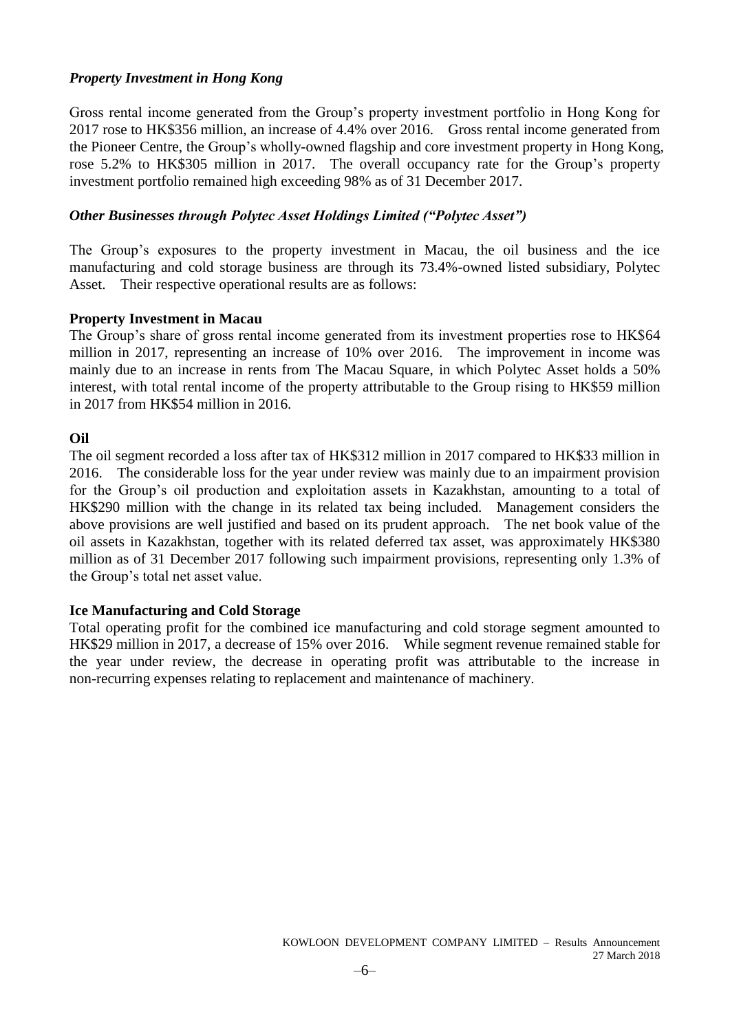### *Property Investment in Hong Kong*

Gross rental income generated from the Group's property investment portfolio in Hong Kong for 2017 rose to HK\$356 million, an increase of 4.4% over 2016. Gross rental income generated from the Pioneer Centre, the Group's wholly-owned flagship and core investment property in Hong Kong, rose 5.2% to HK\$305 million in 2017. The overall occupancy rate for the Group's property investment portfolio remained high exceeding 98% as of 31 December 2017.

### *Other Businesses through Polytec Asset Holdings Limited ("Polytec Asset")*

The Group's exposures to the property investment in Macau, the oil business and the ice manufacturing and cold storage business are through its 73.4%-owned listed subsidiary, Polytec Asset. Their respective operational results are as follows:

### **Property Investment in Macau**

The Group's share of gross rental income generated from its investment properties rose to HK\$64 million in 2017, representing an increase of 10% over 2016. The improvement in income was mainly due to an increase in rents from The Macau Square, in which Polytec Asset holds a 50% interest, with total rental income of the property attributable to the Group rising to HK\$59 million in 2017 from HK\$54 million in 2016.

### **Oil**

The oil segment recorded a loss after tax of HK\$312 million in 2017 compared to HK\$33 million in 2016. The considerable loss for the year under review was mainly due to an impairment provision for the Group's oil production and exploitation assets in Kazakhstan, amounting to a total of HK\$290 million with the change in its related tax being included. Management considers the above provisions are well justified and based on its prudent approach. The net book value of the oil assets in Kazakhstan, together with its related deferred tax asset, was approximately HK\$380 million as of 31 December 2017 following such impairment provisions, representing only 1.3% of the Group's total net asset value.

### **Ice Manufacturing and Cold Storage**

Total operating profit for the combined ice manufacturing and cold storage segment amounted to HK\$29 million in 2017, a decrease of 15% over 2016. While segment revenue remained stable for the year under review, the decrease in operating profit was attributable to the increase in non-recurring expenses relating to replacement and maintenance of machinery.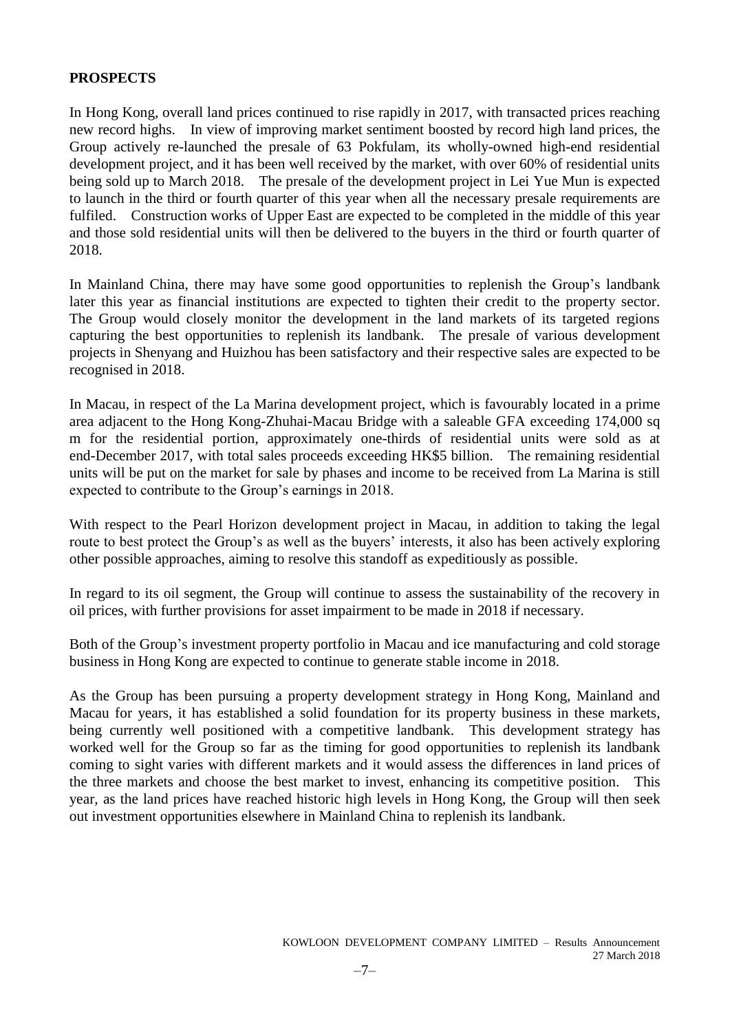### **PROSPECTS**

In Hong Kong, overall land prices continued to rise rapidly in 2017, with transacted prices reaching new record highs. In view of improving market sentiment boosted by record high land prices, the Group actively re-launched the presale of 63 Pokfulam, its wholly-owned high-end residential development project, and it has been well received by the market, with over 60% of residential units being sold up to March 2018. The presale of the development project in Lei Yue Mun is expected to launch in the third or fourth quarter of this year when all the necessary presale requirements are fulfiled. Construction works of Upper East are expected to be completed in the middle of this year and those sold residential units will then be delivered to the buyers in the third or fourth quarter of 2018.

In Mainland China, there may have some good opportunities to replenish the Group's landbank later this year as financial institutions are expected to tighten their credit to the property sector. The Group would closely monitor the development in the land markets of its targeted regions capturing the best opportunities to replenish its landbank. The presale of various development projects in Shenyang and Huizhou has been satisfactory and their respective sales are expected to be recognised in 2018.

In Macau, in respect of the La Marina development project, which is favourably located in a prime area adjacent to the Hong Kong-Zhuhai-Macau Bridge with a saleable GFA exceeding 174,000 sq m for the residential portion, approximately one-thirds of residential units were sold as at end-December 2017, with total sales proceeds exceeding HK\$5 billion. The remaining residential units will be put on the market for sale by phases and income to be received from La Marina is still expected to contribute to the Group's earnings in 2018.

With respect to the Pearl Horizon development project in Macau, in addition to taking the legal route to best protect the Group's as well as the buyers' interests, it also has been actively exploring other possible approaches, aiming to resolve this standoff as expeditiously as possible.

In regard to its oil segment, the Group will continue to assess the sustainability of the recovery in oil prices, with further provisions for asset impairment to be made in 2018 if necessary.

Both of the Group's investment property portfolio in Macau and ice manufacturing and cold storage business in Hong Kong are expected to continue to generate stable income in 2018.

As the Group has been pursuing a property development strategy in Hong Kong, Mainland and Macau for years, it has established a solid foundation for its property business in these markets, being currently well positioned with a competitive landbank. This development strategy has worked well for the Group so far as the timing for good opportunities to replenish its landbank coming to sight varies with different markets and it would assess the differences in land prices of the three markets and choose the best market to invest, enhancing its competitive position. This year, as the land prices have reached historic high levels in Hong Kong, the Group will then seek out investment opportunities elsewhere in Mainland China to replenish its landbank.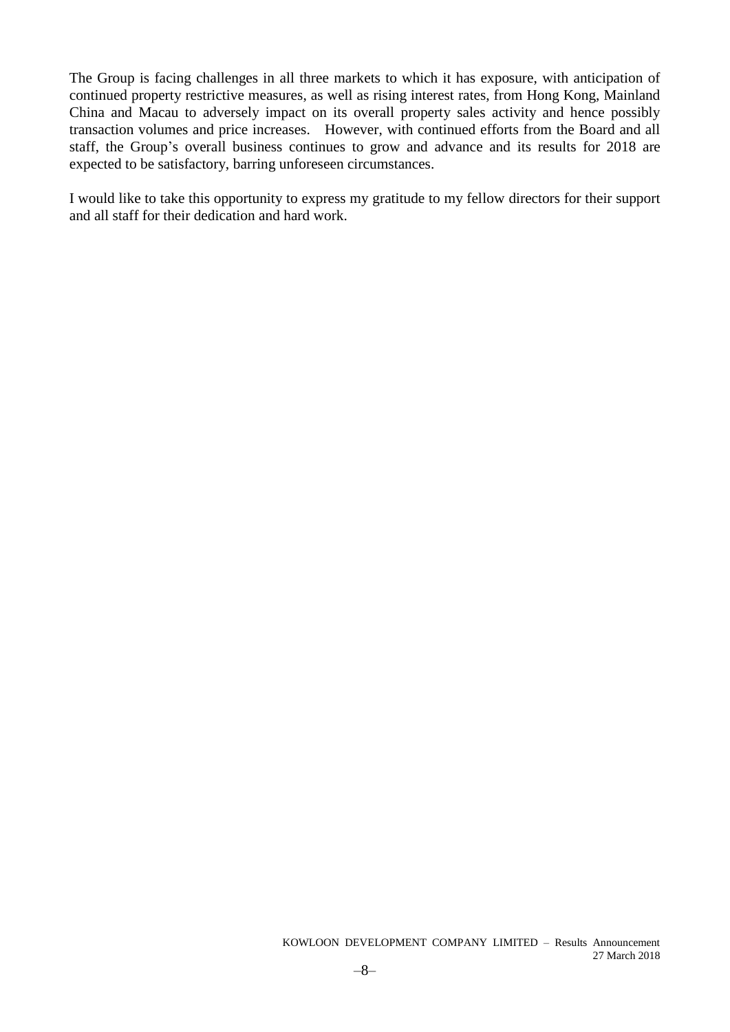The Group is facing challenges in all three markets to which it has exposure, with anticipation of continued property restrictive measures, as well as rising interest rates, from Hong Kong, Mainland China and Macau to adversely impact on its overall property sales activity and hence possibly transaction volumes and price increases. However, with continued efforts from the Board and all staff, the Group's overall business continues to grow and advance and its results for 2018 are expected to be satisfactory, barring unforeseen circumstances.

I would like to take this opportunity to express my gratitude to my fellow directors for their support and all staff for their dedication and hard work.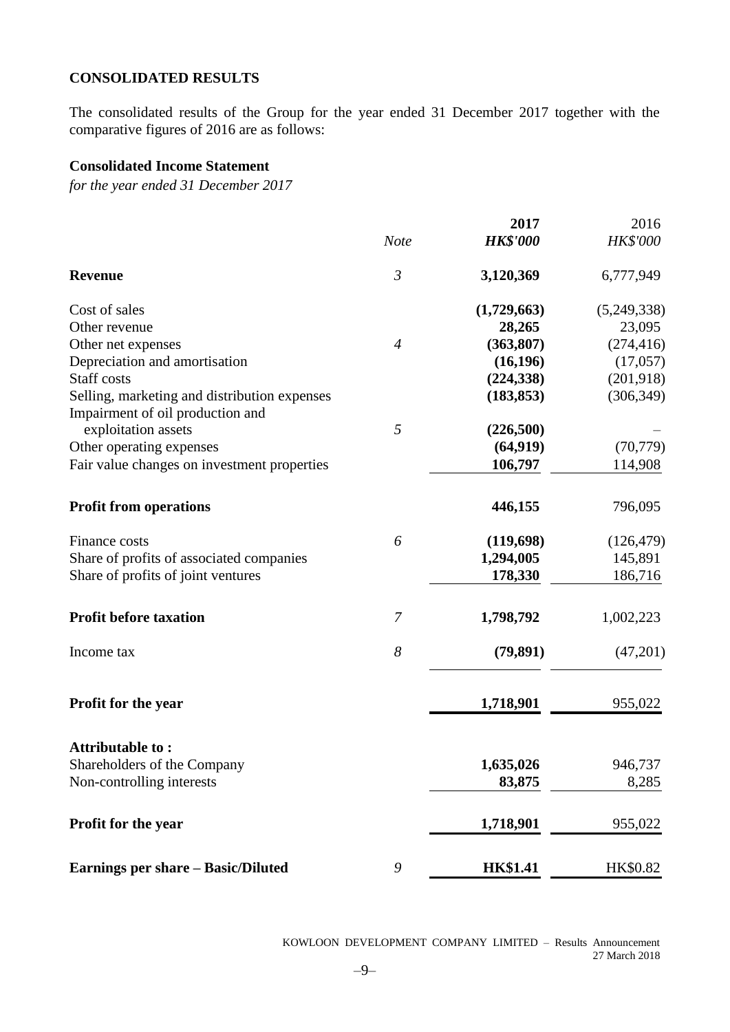### **CONSOLIDATED RESULTS**

The consolidated results of the Group for the year ended 31 December 2017 together with the comparative figures of 2016 are as follows:

### **Consolidated Income Statement**

*for the year ended 31 December 2017*

|                                                                                  |                | 2017            | 2016            |
|----------------------------------------------------------------------------------|----------------|-----------------|-----------------|
|                                                                                  | <b>Note</b>    | <b>HK\$'000</b> | <b>HK\$'000</b> |
| <b>Revenue</b>                                                                   | $\mathfrak{Z}$ | 3,120,369       | 6,777,949       |
| Cost of sales                                                                    |                | (1,729,663)     | (5,249,338)     |
| Other revenue                                                                    |                | 28,265          | 23,095          |
| Other net expenses                                                               | $\overline{4}$ | (363, 807)      | (274, 416)      |
| Depreciation and amortisation                                                    |                | (16, 196)       | (17,057)        |
| <b>Staff</b> costs                                                               |                | (224, 338)      | (201, 918)      |
| Selling, marketing and distribution expenses<br>Impairment of oil production and |                | (183, 853)      | (306, 349)      |
| exploitation assets                                                              | 5              | (226,500)       |                 |
| Other operating expenses                                                         |                | (64, 919)       | (70, 779)       |
| Fair value changes on investment properties                                      |                | 106,797         | 114,908         |
| <b>Profit from operations</b>                                                    |                | 446,155         | 796,095         |
| Finance costs                                                                    | 6              | (119,698)       | (126, 479)      |
| Share of profits of associated companies                                         |                | 1,294,005       | 145,891         |
| Share of profits of joint ventures                                               |                | 178,330         | 186,716         |
| <b>Profit before taxation</b>                                                    | 7              | 1,798,792       | 1,002,223       |
| Income tax                                                                       | 8              | (79, 891)       | (47,201)        |
| Profit for the year                                                              |                | 1,718,901       | 955,022         |
| <b>Attributable to:</b>                                                          |                |                 |                 |
| Shareholders of the Company                                                      |                | 1,635,026       | 946,737         |
| Non-controlling interests                                                        |                | 83,875          | 8,285           |
| Profit for the year                                                              |                | 1,718,901       | 955,022         |
| <b>Earnings per share - Basic/Diluted</b>                                        | 9              | <b>HK\$1.41</b> | HK\$0.82        |

KOWLOON DEVELOPMENT COMPANY LIMITED – Results Announcement 27 March 2018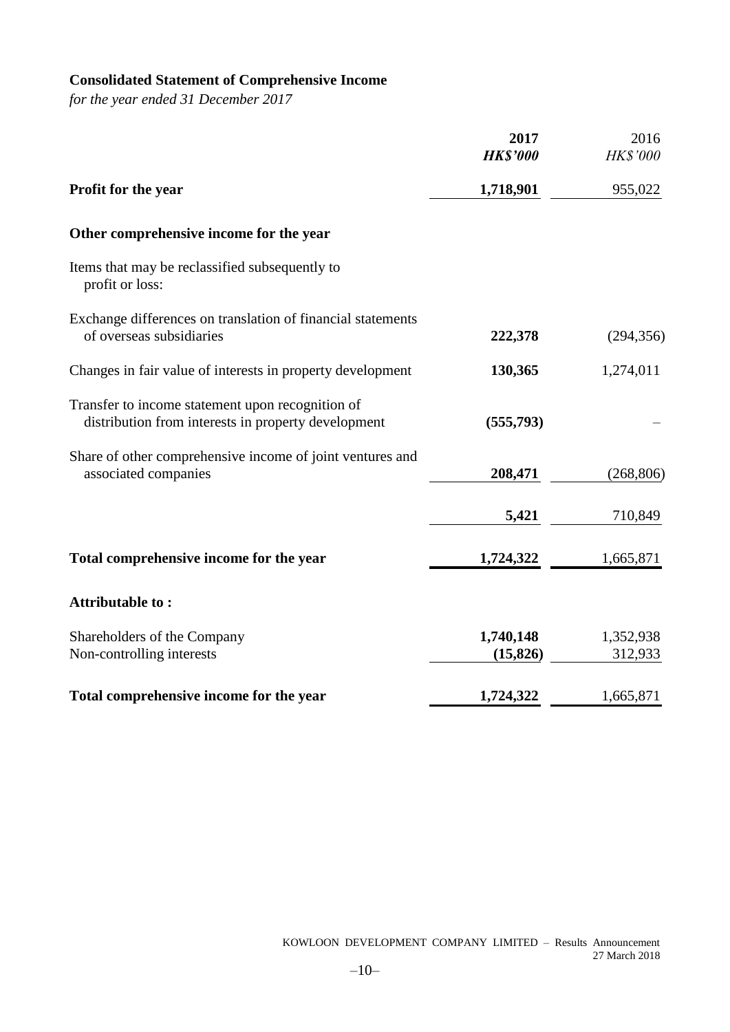# **Consolidated Statement of Comprehensive Income**

*for the year ended 31 December 2017*

|                                                                                                         | 2017                   | 2016                 |
|---------------------------------------------------------------------------------------------------------|------------------------|----------------------|
|                                                                                                         | <b>HK\$'000</b>        | <b>HK\$'000</b>      |
| Profit for the year                                                                                     | 1,718,901              | 955,022              |
| Other comprehensive income for the year                                                                 |                        |                      |
| Items that may be reclassified subsequently to<br>profit or loss:                                       |                        |                      |
| Exchange differences on translation of financial statements<br>of overseas subsidiaries                 | 222,378                | (294, 356)           |
| Changes in fair value of interests in property development                                              | 130,365                | 1,274,011            |
| Transfer to income statement upon recognition of<br>distribution from interests in property development | (555,793)              |                      |
| Share of other comprehensive income of joint ventures and<br>associated companies                       | 208,471                | (268, 806)           |
|                                                                                                         | 5,421                  | 710,849              |
| Total comprehensive income for the year                                                                 | 1,724,322              | 1,665,871            |
| Attributable to:                                                                                        |                        |                      |
| Shareholders of the Company<br>Non-controlling interests                                                | 1,740,148<br>(15, 826) | 1,352,938<br>312,933 |
| Total comprehensive income for the year                                                                 | 1,724,322              | 1,665,871            |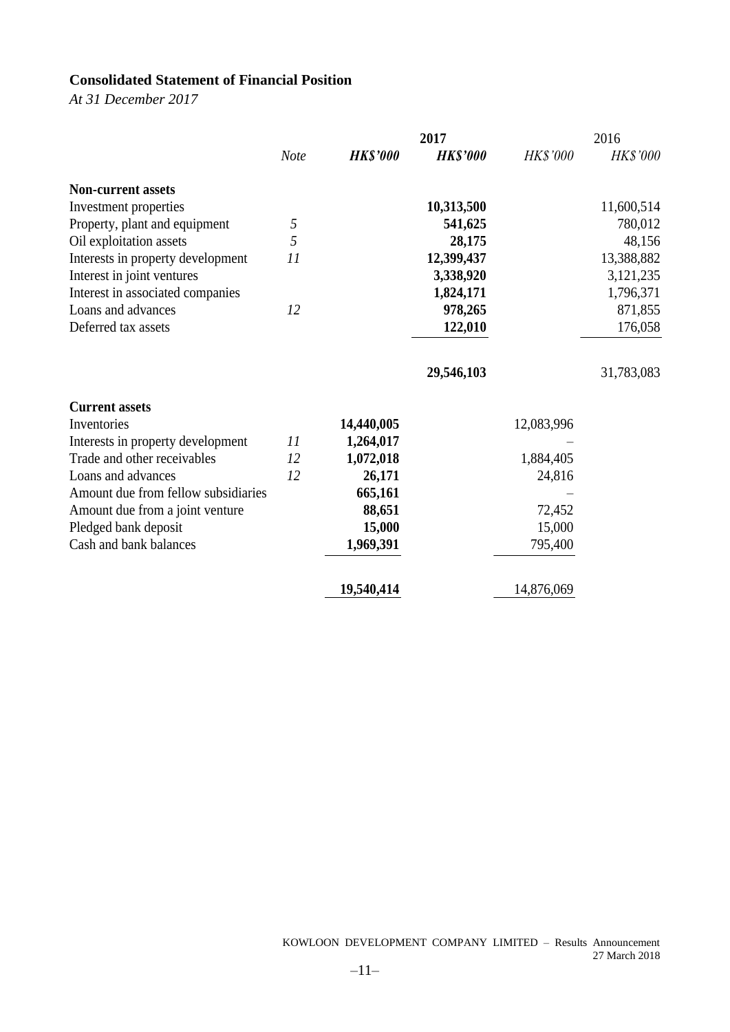# **Consolidated Statement of Financial Position**

*At 31 December 2017*

|                                     |             |                 | 2017            |                 | 2016            |
|-------------------------------------|-------------|-----------------|-----------------|-----------------|-----------------|
|                                     | <b>Note</b> | <b>HK\$'000</b> | <b>HK\$'000</b> | <b>HK\$'000</b> | <b>HK\$'000</b> |
| <b>Non-current assets</b>           |             |                 |                 |                 |                 |
| Investment properties               |             |                 | 10,313,500      |                 | 11,600,514      |
| Property, plant and equipment       | 5           |                 | 541,625         |                 | 780,012         |
| Oil exploitation assets             | 5           |                 | 28,175          |                 | 48,156          |
| Interests in property development   | 11          |                 | 12,399,437      |                 | 13,388,882      |
| Interest in joint ventures          |             |                 | 3,338,920       |                 | 3,121,235       |
| Interest in associated companies    |             |                 | 1,824,171       |                 | 1,796,371       |
| Loans and advances                  | 12          |                 | 978,265         |                 | 871,855         |
| Deferred tax assets                 |             |                 | 122,010         |                 | 176,058         |
|                                     |             |                 | 29,546,103      |                 | 31,783,083      |
| <b>Current assets</b>               |             |                 |                 |                 |                 |
| Inventories                         |             | 14,440,005      |                 | 12,083,996      |                 |
| Interests in property development   | 11          | 1,264,017       |                 |                 |                 |
| Trade and other receivables         | 12          | 1,072,018       |                 | 1,884,405       |                 |
| Loans and advances                  | 12          | 26,171          |                 | 24,816          |                 |
| Amount due from fellow subsidiaries |             | 665,161         |                 |                 |                 |
| Amount due from a joint venture     |             | 88,651          |                 | 72,452          |                 |
| Pledged bank deposit                |             | 15,000          |                 | 15,000          |                 |
| Cash and bank balances              |             | 1,969,391       |                 | 795,400         |                 |
|                                     |             | 19,540,414      |                 | 14,876,069      |                 |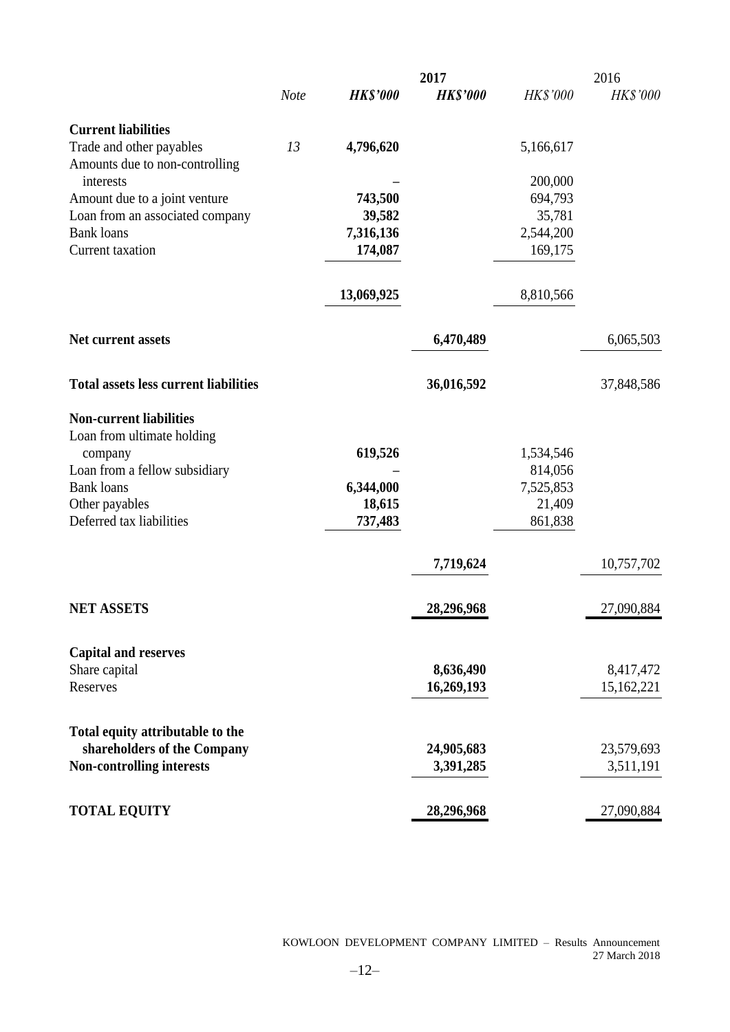|                                              |             |                 | 2017            |                 | 2016            |
|----------------------------------------------|-------------|-----------------|-----------------|-----------------|-----------------|
|                                              | <b>Note</b> | <b>HK\$'000</b> | <b>HK\$'000</b> | <b>HK\$'000</b> | <b>HK\$'000</b> |
| <b>Current liabilities</b>                   |             |                 |                 |                 |                 |
| Trade and other payables                     | 13          | 4,796,620       |                 | 5,166,617       |                 |
| Amounts due to non-controlling               |             |                 |                 |                 |                 |
| interests                                    |             |                 |                 | 200,000         |                 |
| Amount due to a joint venture                |             | 743,500         |                 | 694,793         |                 |
| Loan from an associated company              |             | 39,582          |                 | 35,781          |                 |
| <b>Bank</b> loans                            |             | 7,316,136       |                 | 2,544,200       |                 |
| Current taxation                             |             | 174,087         |                 | 169,175         |                 |
|                                              |             | 13,069,925      |                 | 8,810,566       |                 |
| Net current assets                           |             |                 | 6,470,489       |                 | 6,065,503       |
| <b>Total assets less current liabilities</b> |             |                 | 36,016,592      |                 | 37,848,586      |
| <b>Non-current liabilities</b>               |             |                 |                 |                 |                 |
| Loan from ultimate holding                   |             |                 |                 |                 |                 |
| company                                      |             | 619,526         |                 | 1,534,546       |                 |
| Loan from a fellow subsidiary                |             |                 |                 | 814,056         |                 |
| <b>Bank loans</b>                            |             | 6,344,000       |                 | 7,525,853       |                 |
| Other payables                               |             | 18,615          |                 | 21,409          |                 |
| Deferred tax liabilities                     |             | 737,483         |                 | 861,838         |                 |
|                                              |             |                 | 7,719,624       |                 | 10,757,702      |
| <b>NET ASSETS</b>                            |             |                 | 28,296,968      |                 | 27,090,884      |
|                                              |             |                 |                 |                 |                 |
| <b>Capital and reserves</b>                  |             |                 |                 |                 |                 |
| Share capital                                |             |                 | 8,636,490       |                 | 8,417,472       |
| Reserves                                     |             |                 | 16,269,193      |                 | 15,162,221      |
| Total equity attributable to the             |             |                 |                 |                 |                 |
| shareholders of the Company                  |             |                 | 24,905,683      |                 | 23,579,693      |
| Non-controlling interests                    |             |                 | 3,391,285       |                 | 3,511,191       |
| <b>TOTAL EQUITY</b>                          |             |                 | 28,296,968      |                 | 27,090,884      |
|                                              |             |                 |                 |                 |                 |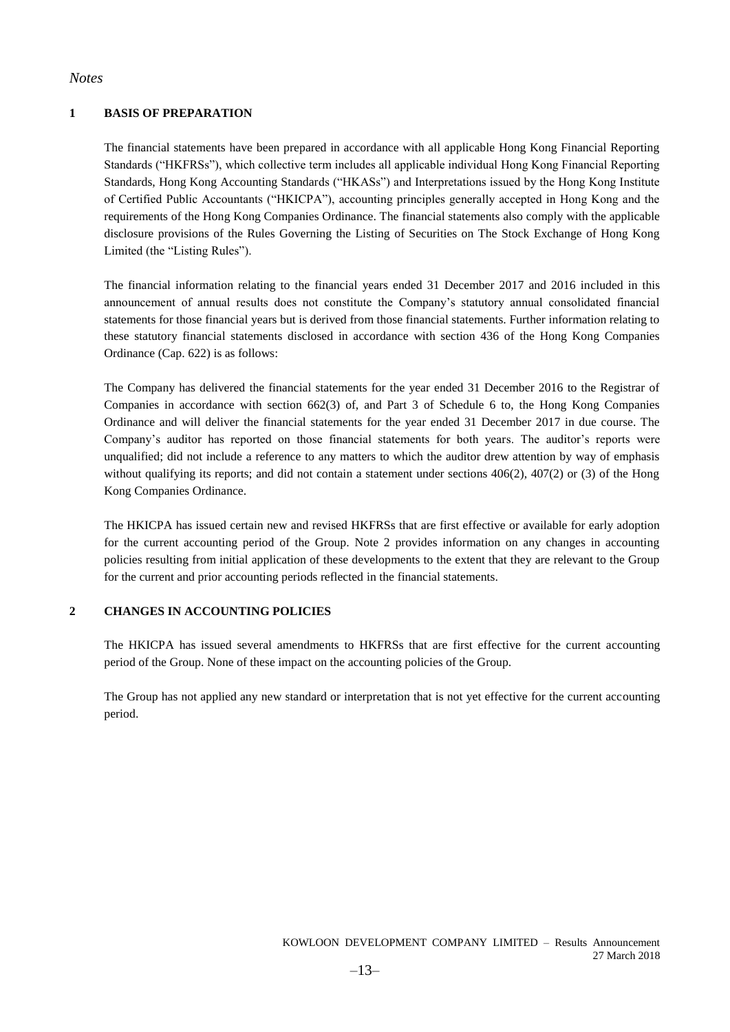#### *Notes*

#### **1 BASIS OF PREPARATION**

The financial statements have been prepared in accordance with all applicable Hong Kong Financial Reporting Standards ("HKFRSs"), which collective term includes all applicable individual Hong Kong Financial Reporting Standards, Hong Kong Accounting Standards ("HKASs") and Interpretations issued by the Hong Kong Institute of Certified Public Accountants ("HKICPA"), accounting principles generally accepted in Hong Kong and the requirements of the Hong Kong Companies Ordinance. The financial statements also comply with the applicable disclosure provisions of the Rules Governing the Listing of Securities on The Stock Exchange of Hong Kong Limited (the "Listing Rules").

The financial information relating to the financial years ended 31 December 2017 and 2016 included in this announcement of annual results does not constitute the Company's statutory annual consolidated financial statements for those financial years but is derived from those financial statements. Further information relating to these statutory financial statements disclosed in accordance with section 436 of the Hong Kong Companies Ordinance (Cap. 622) is as follows:

The Company has delivered the financial statements for the year ended 31 December 2016 to the Registrar of Companies in accordance with section 662(3) of, and Part 3 of Schedule 6 to, the Hong Kong Companies Ordinance and will deliver the financial statements for the year ended 31 December 2017 in due course. The Company's auditor has reported on those financial statements for both years. The auditor's reports were unqualified; did not include a reference to any matters to which the auditor drew attention by way of emphasis without qualifying its reports; and did not contain a statement under sections  $406(2)$ ,  $407(2)$  or (3) of the Hong Kong Companies Ordinance.

The HKICPA has issued certain new and revised HKFRSs that are first effective or available for early adoption for the current accounting period of the Group. Note 2 provides information on any changes in accounting policies resulting from initial application of these developments to the extent that they are relevant to the Group for the current and prior accounting periods reflected in the financial statements.

#### **2 CHANGES IN ACCOUNTING POLICIES**

The HKICPA has issued several amendments to HKFRSs that are first effective for the current accounting period of the Group. None of these impact on the accounting policies of the Group.

The Group has not applied any new standard or interpretation that is not yet effective for the current accounting period.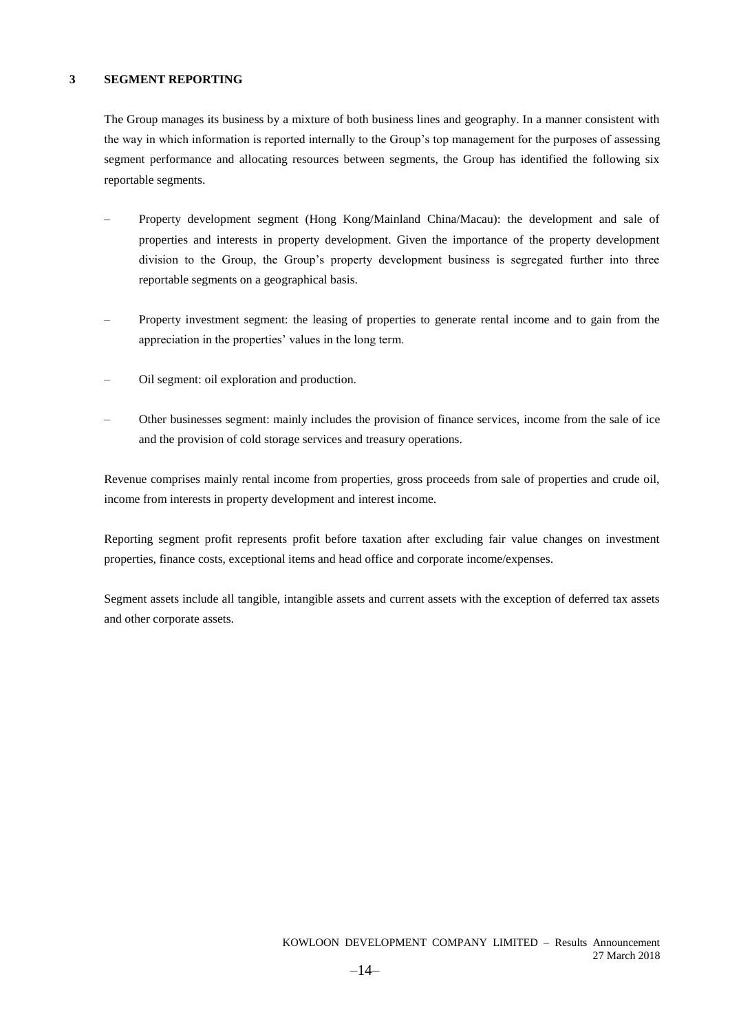#### **3 SEGMENT REPORTING**

The Group manages its business by a mixture of both business lines and geography. In a manner consistent with the way in which information is reported internally to the Group's top management for the purposes of assessing segment performance and allocating resources between segments, the Group has identified the following six reportable segments.

- Property development segment (Hong Kong/Mainland China/Macau): the development and sale of properties and interests in property development. Given the importance of the property development division to the Group, the Group's property development business is segregated further into three reportable segments on a geographical basis.
- Property investment segment: the leasing of properties to generate rental income and to gain from the appreciation in the properties' values in the long term.
- Oil segment: oil exploration and production.
- Other businesses segment: mainly includes the provision of finance services, income from the sale of ice and the provision of cold storage services and treasury operations.

Revenue comprises mainly rental income from properties, gross proceeds from sale of properties and crude oil, income from interests in property development and interest income.

Reporting segment profit represents profit before taxation after excluding fair value changes on investment properties, finance costs, exceptional items and head office and corporate income/expenses.

Segment assets include all tangible, intangible assets and current assets with the exception of deferred tax assets and other corporate assets.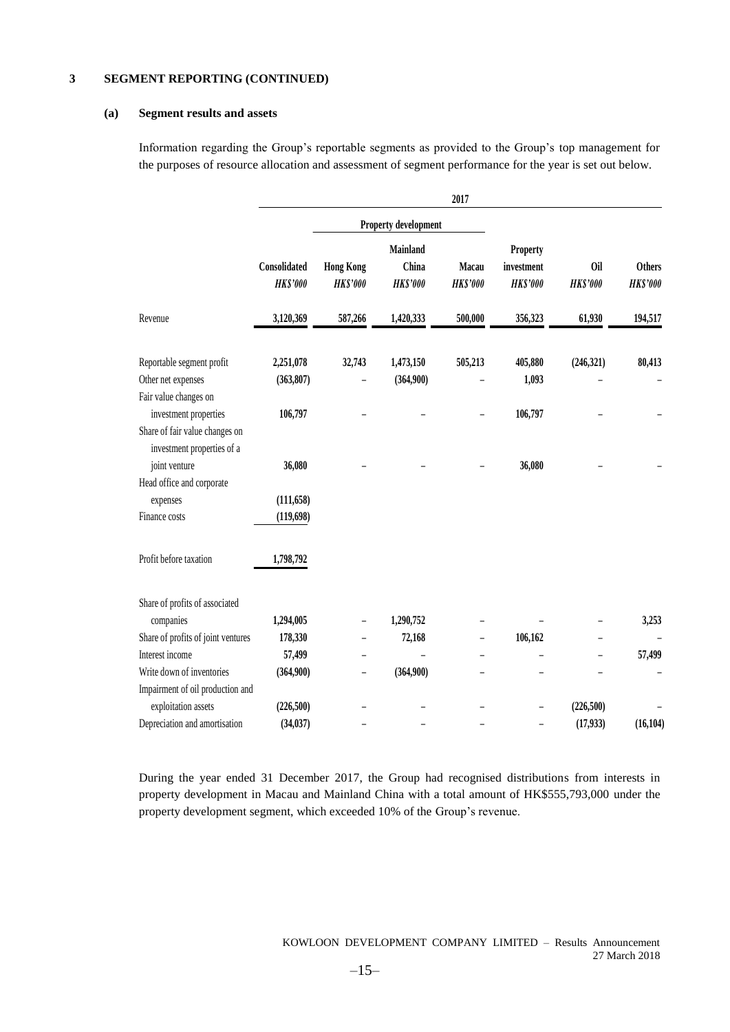#### **(a) Segment results and assets**

Information regarding the Group's reportable segments as provided to the Group's top management for the purposes of resource allocation and assessment of segment performance for the year is set out below.

|                                                                                  |                                 |                                     |                                      | 2017                     |                                           |                        |                                  |
|----------------------------------------------------------------------------------|---------------------------------|-------------------------------------|--------------------------------------|--------------------------|-------------------------------------------|------------------------|----------------------------------|
|                                                                                  |                                 |                                     | <b>Property development</b>          |                          |                                           |                        |                                  |
|                                                                                  | Consolidated<br><b>HK\$'000</b> | <b>Hong Kong</b><br><b>HK\$'000</b> | Mainland<br>China<br><b>HK\$'000</b> | Macau<br><b>HK\$'000</b> | Property<br>investment<br><b>HK\$'000</b> | 0il<br><b>HK\$'000</b> | <b>Others</b><br><b>HK\$'000</b> |
| Revenue                                                                          | 3,120,369                       | 587,266                             | 1,420,333                            | 500,000                  | 356,323                                   | 61,930                 | 194,517                          |
| Reportable segment profit                                                        | 2,251,078                       | 32,743                              | 1,473,150                            | 505,213                  | 405,880                                   | (246, 321)             | 80,413                           |
| Other net expenses                                                               | (363, 807)                      |                                     | (364,900)                            |                          | 1,093                                     |                        |                                  |
| Fair value changes on<br>investment properties<br>Share of fair value changes on | 106,797                         |                                     |                                      |                          | 106,797                                   |                        |                                  |
| investment properties of a<br>joint venture                                      | 36,080                          |                                     |                                      |                          | 36,080                                    |                        |                                  |
| Head office and corporate                                                        |                                 |                                     |                                      |                          |                                           |                        |                                  |
| expenses<br>Finance costs                                                        | (111, 658)<br>(119, 698)        |                                     |                                      |                          |                                           |                        |                                  |
| Profit before taxation                                                           | 1,798,792                       |                                     |                                      |                          |                                           |                        |                                  |
| Share of profits of associated                                                   |                                 |                                     |                                      |                          |                                           |                        |                                  |
| companies                                                                        | 1,294,005                       |                                     | 1,290,752                            |                          |                                           |                        | 3,253                            |
| Share of profits of joint ventures                                               | 178,330                         |                                     | 72,168                               |                          | 106,162                                   |                        |                                  |
| Interest income                                                                  | 57,499                          |                                     |                                      |                          |                                           |                        | 57,499                           |
| Write down of inventories                                                        | (364,900)                       | -                                   | (364,900)                            |                          |                                           |                        |                                  |
| Impairment of oil production and                                                 |                                 |                                     |                                      |                          |                                           |                        |                                  |
| exploitation assets                                                              | (226, 500)                      |                                     |                                      |                          |                                           | (226, 500)             |                                  |
| Depreciation and amortisation                                                    | (34, 037)                       |                                     |                                      |                          |                                           | (17, 933)              | (16, 104)                        |

During the year ended 31 December 2017, the Group had recognised distributions from interests in property development in Macau and Mainland China with a total amount of HK\$555,793,000 under the property development segment, which exceeded 10% of the Group's revenue.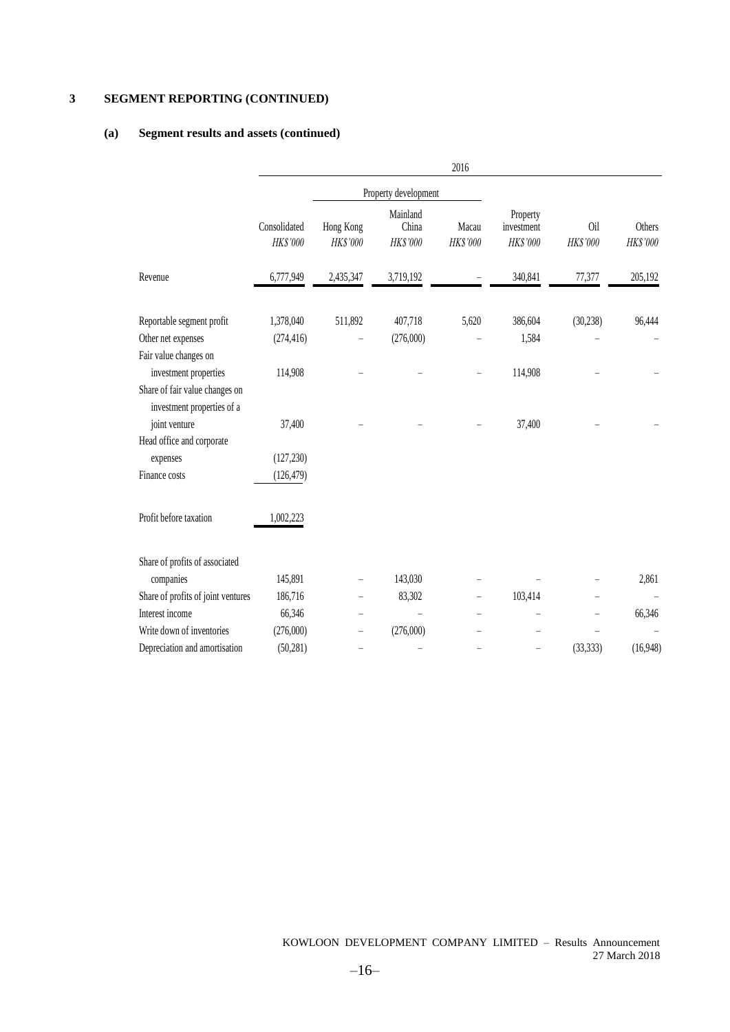### **(a) Segment results and assets (continued)**

|                                                              |                          |                       |                               | 2016              |                                    |                 |                    |
|--------------------------------------------------------------|--------------------------|-----------------------|-------------------------------|-------------------|------------------------------------|-----------------|--------------------|
|                                                              |                          |                       | Property development          |                   |                                    |                 |                    |
|                                                              | Consolidated<br>HK\$'000 | Hong Kong<br>HK\$'000 | Mainland<br>China<br>HK\$'000 | Macau<br>HK\$'000 | Property<br>investment<br>HK\$'000 | 0il<br>HK\$'000 | Others<br>HK\$'000 |
| Revenue                                                      | 6,777,949                | 2,435,347             | 3,719,192                     |                   | 340,841                            | 77,377          | 205,192            |
| Reportable segment profit                                    | 1,378,040                | 511,892               | 407,718                       | 5,620             | 386,604                            | (30, 238)       | 96,444             |
| Other net expenses                                           | (274, 416)               |                       | (276,000)                     |                   | 1,584                              |                 |                    |
| Fair value changes on                                        |                          |                       |                               |                   |                                    |                 |                    |
| investment properties                                        | 114,908                  |                       |                               |                   | 114,908                            |                 |                    |
| Share of fair value changes on<br>investment properties of a |                          |                       |                               |                   |                                    |                 |                    |
| joint venture                                                | 37,400                   |                       |                               |                   | 37,400                             |                 |                    |
| Head office and corporate                                    |                          |                       |                               |                   |                                    |                 |                    |
| expenses                                                     | (127, 230)               |                       |                               |                   |                                    |                 |                    |
| Finance costs                                                | (126, 479)               |                       |                               |                   |                                    |                 |                    |
| Profit before taxation                                       | 1,002,223                |                       |                               |                   |                                    |                 |                    |
| Share of profits of associated                               |                          |                       |                               |                   |                                    |                 |                    |
| companies                                                    | 145,891                  |                       | 143,030                       |                   |                                    |                 | 2,861              |
| Share of profits of joint ventures                           | 186,716                  |                       | 83,302                        |                   | 103,414                            |                 |                    |
| Interest income                                              | 66,346                   |                       |                               |                   |                                    |                 | 66,346             |
| Write down of inventories                                    | (276,000)                |                       | (276,000)                     |                   |                                    |                 |                    |
| Depreciation and amortisation                                | (50, 281)                |                       |                               |                   |                                    | (33, 333)       | (16,948)           |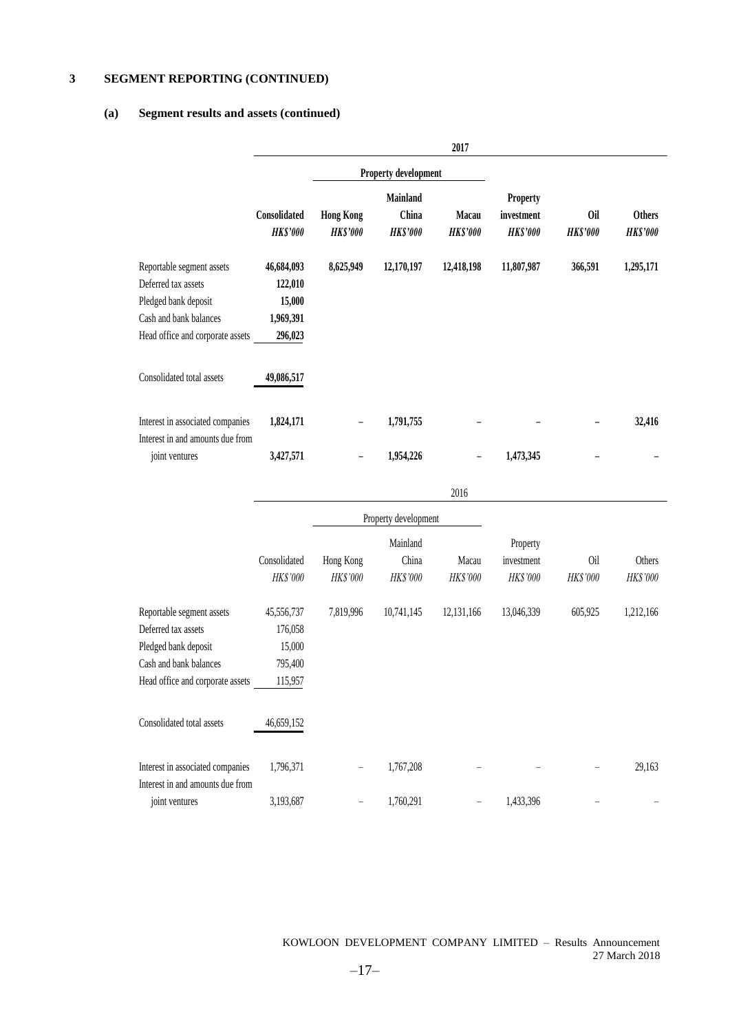#### **(a) Segment results and assets (continued)**

|                                                                                                                                        |                                                         |                                     |                                      | 2017                     |                                           |                        |                                  |
|----------------------------------------------------------------------------------------------------------------------------------------|---------------------------------------------------------|-------------------------------------|--------------------------------------|--------------------------|-------------------------------------------|------------------------|----------------------------------|
|                                                                                                                                        |                                                         |                                     | Property development                 |                          |                                           |                        |                                  |
|                                                                                                                                        | Consolidated<br><b>HK\$'000</b>                         | <b>Hong Kong</b><br><b>HK\$'000</b> | Mainland<br>China<br><b>HK\$'000</b> | Macau<br><b>HK\$'000</b> | Property<br>investment<br><b>HK\$'000</b> | Oil<br><b>HK\$'000</b> | <b>Others</b><br><b>HK\$'000</b> |
| Reportable segment assets<br>Deferred tax assets<br>Pledged bank deposit<br>Cash and bank balances<br>Head office and corporate assets | 46,684,093<br>122,010<br>15,000<br>1,969,391<br>296,023 | 8,625,949                           | 12,170,197                           | 12,418,198               | 11,807,987                                | 366,591                | 1,295,171                        |
| Consolidated total assets                                                                                                              | 49,086,517                                              |                                     |                                      |                          |                                           |                        |                                  |
| Interest in associated companies<br>Interest in and amounts due from                                                                   | 1,824,171                                               | -                                   | 1,791,755                            |                          |                                           |                        | 32,416                           |
| joint ventures                                                                                                                         | 3,427,571                                               |                                     | 1,954,226                            |                          | 1,473,345                                 |                        |                                  |
|                                                                                                                                        |                                                         |                                     |                                      | 2016                     |                                           |                        |                                  |
|                                                                                                                                        |                                                         |                                     | Property development                 |                          |                                           |                        |                                  |
|                                                                                                                                        | Consolidated<br>HK\$'000                                | Hong Kong<br>HK\$'000               | Mainland<br>China<br>HK\$'000        | Macau<br>HK\$'000        | Property<br>investment<br>HK\$'000        | Oil<br>HK\$'000        | Others<br>HK\$'000               |
| Reportable segment assets<br>Deferred tax assets<br>Pledged bank deposit<br>Cash and bank balances<br>Head office and corporate assets | 45,556,737<br>176,058<br>15,000<br>795,400<br>115,957   | 7,819,996                           | 10,741,145                           | 12,131,166               | 13,046,339                                | 605,925                | 1,212,166                        |
| Consolidated total assets                                                                                                              | 46,659,152                                              |                                     |                                      |                          |                                           |                        |                                  |
| Interest in associated companies<br>Interest in and amounts due from                                                                   | 1,796,371                                               |                                     | 1,767,208                            |                          |                                           |                        | 29,163                           |
| joint ventures                                                                                                                         | 3,193,687                                               |                                     | 1,760,291                            |                          | 1,433,396                                 |                        |                                  |

KOWLOON DEVELOPMENT COMPANY LIMITED – Results Announcement 27 March 2018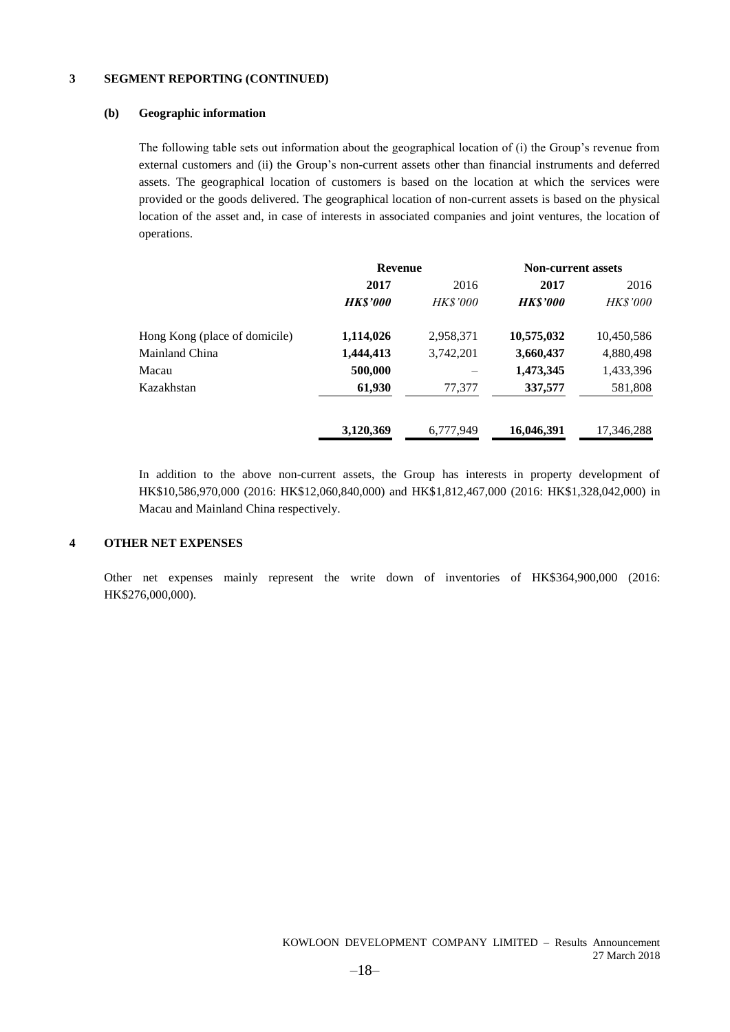#### **(b) Geographic information**

The following table sets out information about the geographical location of (i) the Group's revenue from external customers and (ii) the Group's non-current assets other than financial instruments and deferred assets. The geographical location of customers is based on the location at which the services were provided or the goods delivered. The geographical location of non-current assets is based on the physical location of the asset and, in case of interests in associated companies and joint ventures, the location of operations.

|                               | <b>Revenue</b> |                 | <b>Non-current assets</b> |                 |  |
|-------------------------------|----------------|-----------------|---------------------------|-----------------|--|
|                               | 2017           | 2016            | 2017                      | 2016            |  |
|                               | <b>HKS'000</b> | <b>HK\$'000</b> | <b>HK\$'000</b>           | <i>HK\$'000</i> |  |
| Hong Kong (place of domicile) | 1,114,026      | 2,958,371       | 10,575,032                | 10,450,586      |  |
| Mainland China                | 1,444,413      | 3,742,201       | 3,660,437                 | 4,880,498       |  |
| Macau                         | 500,000        |                 | 1,473,345                 | 1,433,396       |  |
| Kazakhstan                    | 61,930         | 77,377          | 337,577                   | 581,808         |  |
|                               | 3,120,369      | 6,777,949       | 16,046,391                | 17,346,288      |  |

In addition to the above non-current assets, the Group has interests in property development of HK\$10,586,970,000 (2016: HK\$12,060,840,000) and HK\$1,812,467,000 (2016: HK\$1,328,042,000) in Macau and Mainland China respectively.

#### **4 OTHER NET EXPENSES**

Other net expenses mainly represent the write down of inventories of HK\$364,900,000 (2016: HK\$276,000,000).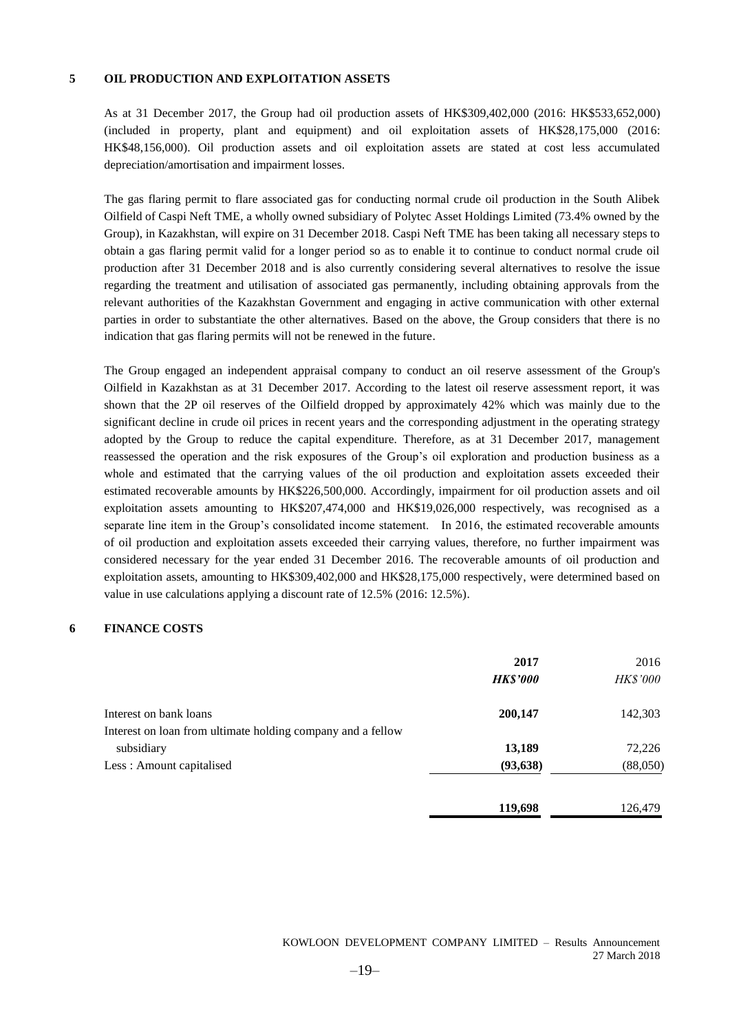#### **5 OIL PRODUCTION AND EXPLOITATION ASSETS**

As at 31 December 2017, the Group had oil production assets of HK\$309,402,000 (2016: HK\$533,652,000) (included in property, plant and equipment) and oil exploitation assets of HK\$28,175,000 (2016: HK\$48,156,000). Oil production assets and oil exploitation assets are stated at cost less accumulated depreciation/amortisation and impairment losses.

The gas flaring permit to flare associated gas for conducting normal crude oil production in the South Alibek Oilfield of Caspi Neft TME, a wholly owned subsidiary of Polytec Asset Holdings Limited (73.4% owned by the Group), in Kazakhstan, will expire on 31 December 2018. Caspi Neft TME has been taking all necessary steps to obtain a gas flaring permit valid for a longer period so as to enable it to continue to conduct normal crude oil production after 31 December 2018 and is also currently considering several alternatives to resolve the issue regarding the treatment and utilisation of associated gas permanently, including obtaining approvals from the relevant authorities of the Kazakhstan Government and engaging in active communication with other external parties in order to substantiate the other alternatives. Based on the above, the Group considers that there is no indication that gas flaring permits will not be renewed in the future.

The Group engaged an independent appraisal company to conduct an oil reserve assessment of the Group's Oilfield in Kazakhstan as at 31 December 2017. According to the latest oil reserve assessment report, it was shown that the 2P oil reserves of the Oilfield dropped by approximately 42% which was mainly due to the significant decline in crude oil prices in recent years and the corresponding adjustment in the operating strategy adopted by the Group to reduce the capital expenditure. Therefore, as at 31 December 2017, management reassessed the operation and the risk exposures of the Group's oil exploration and production business as a whole and estimated that the carrying values of the oil production and exploitation assets exceeded their estimated recoverable amounts by HK\$226,500,000. Accordingly, impairment for oil production assets and oil exploitation assets amounting to HK\$207,474,000 and HK\$19,026,000 respectively, was recognised as a separate line item in the Group's consolidated income statement. In 2016, the estimated recoverable amounts of oil production and exploitation assets exceeded their carrying values, therefore, no further impairment was considered necessary for the year ended 31 December 2016. The recoverable amounts of oil production and exploitation assets, amounting to HK\$309,402,000 and HK\$28,175,000 respectively, were determined based on value in use calculations applying a discount rate of 12.5% (2016: 12.5%).

#### **6 FINANCE COSTS**

|                                                             | 2017            | 2016            |
|-------------------------------------------------------------|-----------------|-----------------|
|                                                             | <b>HK\$'000</b> | <b>HK\$'000</b> |
| Interest on bank loans                                      | 200,147         | 142,303         |
| Interest on loan from ultimate holding company and a fellow |                 |                 |
| subsidiary                                                  | 13,189          | 72,226          |
| Less: Amount capitalised                                    | (93, 638)       | (88,050)        |
|                                                             | 119,698         | 126,479         |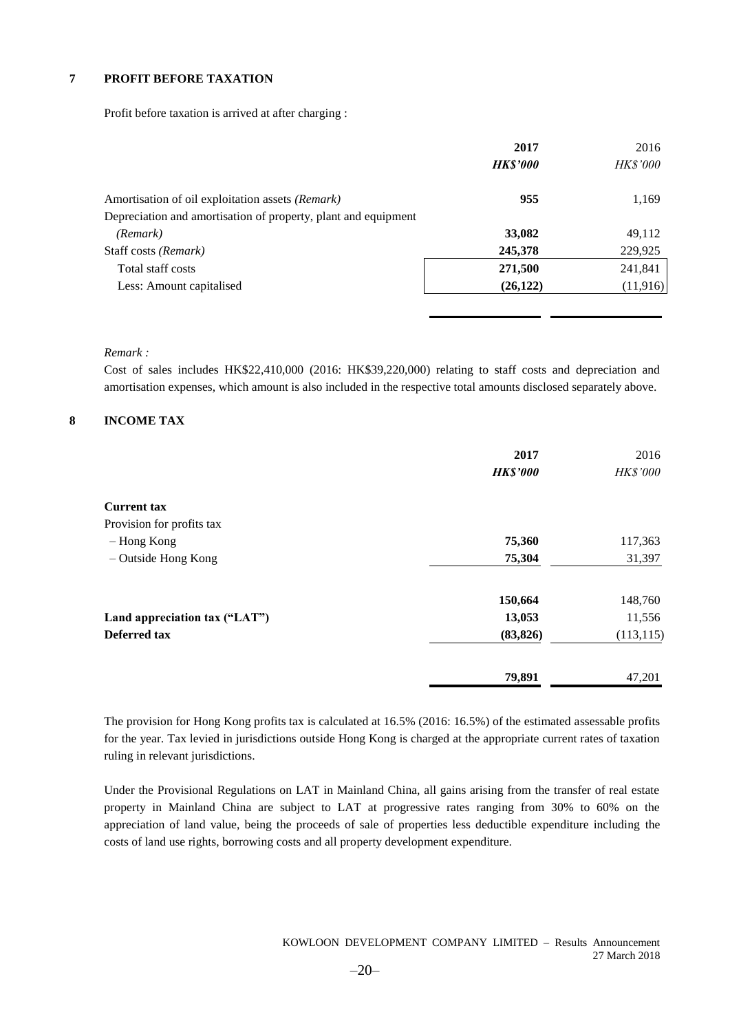#### **7 PROFIT BEFORE TAXATION**

Profit before taxation is arrived at after charging :

|                                                                | 2017            | 2016            |
|----------------------------------------------------------------|-----------------|-----------------|
|                                                                | <b>HK\$'000</b> | <b>HK\$'000</b> |
| Amortisation of oil exploitation assets (Remark)               | 955             | 1,169           |
| Depreciation and amortisation of property, plant and equipment |                 |                 |
| (Remark)                                                       | 33,082          | 49,112          |
| Staff costs (Remark)                                           | 245,378         | 229,925         |
| Total staff costs                                              | 271,500         | 241,841         |
| Less: Amount capitalised                                       | (26, 122)       | (11, 916)       |
|                                                                |                 |                 |

#### *Remark :*

Cost of sales includes HK\$22,410,000 (2016: HK\$39,220,000) relating to staff costs and depreciation and amortisation expenses, which amount is also included in the respective total amounts disclosed separately above.

#### **8 INCOME TAX**

|                               | 2017<br><b>HK\$'000</b> | 2016<br><b>HK\$'000</b> |
|-------------------------------|-------------------------|-------------------------|
| <b>Current tax</b>            |                         |                         |
| Provision for profits tax     |                         |                         |
| - Hong Kong                   | 75,360                  | 117,363                 |
| - Outside Hong Kong           | 75,304                  | 31,397                  |
|                               | 150,664                 | 148,760                 |
| Land appreciation tax ("LAT") | 13,053                  | 11,556                  |
| Deferred tax                  | (83, 826)               | (113, 115)              |
|                               | 79,891                  | 47,201                  |

The provision for Hong Kong profits tax is calculated at 16.5% (2016: 16.5%) of the estimated assessable profits for the year. Tax levied in jurisdictions outside Hong Kong is charged at the appropriate current rates of taxation ruling in relevant jurisdictions.

Under the Provisional Regulations on LAT in Mainland China, all gains arising from the transfer of real estate property in Mainland China are subject to LAT at progressive rates ranging from 30% to 60% on the appreciation of land value, being the proceeds of sale of properties less deductible expenditure including the costs of land use rights, borrowing costs and all property development expenditure.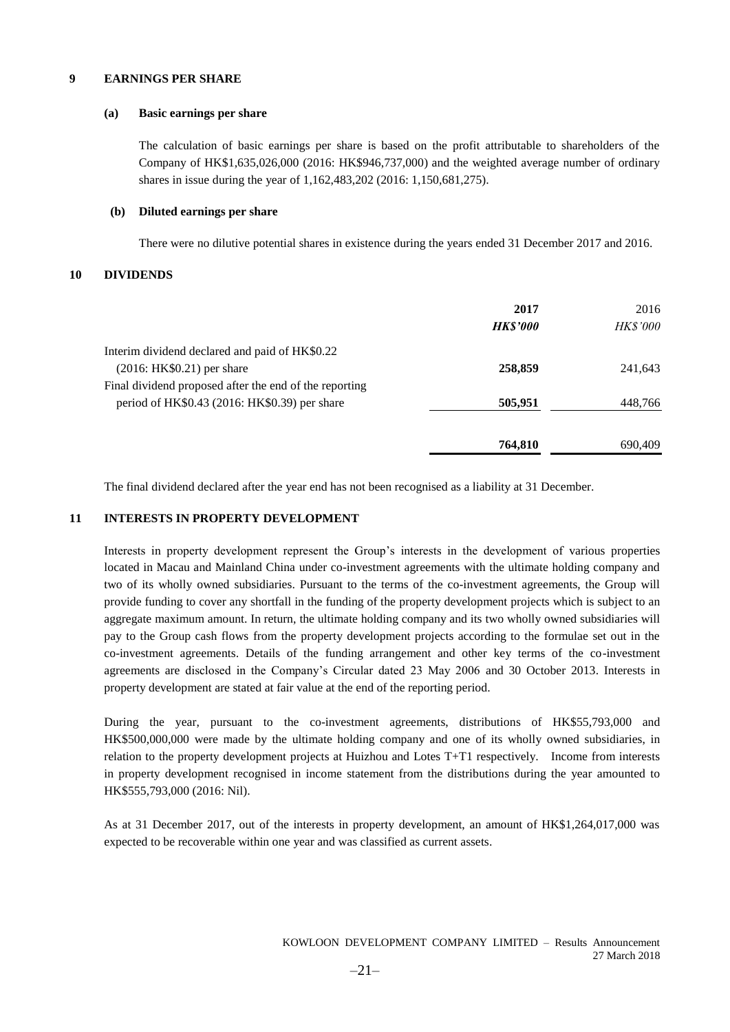#### **9 EARNINGS PER SHARE**

#### **(a) Basic earnings per share**

The calculation of basic earnings per share is based on the profit attributable to shareholders of the Company of HK\$1,635,026,000 (2016: HK\$946,737,000) and the weighted average number of ordinary shares in issue during the year of 1,162,483,202 (2016: 1,150,681,275).

#### **(b) Diluted earnings per share**

There were no dilutive potential shares in existence during the years ended 31 December 2017 and 2016.

#### **10 DIVIDENDS**

|                                                        | 2017<br><b>HK\$'000</b> | 2016<br><b>HK\$'000</b> |
|--------------------------------------------------------|-------------------------|-------------------------|
| Interim dividend declared and paid of HK\$0.22         |                         |                         |
| $(2016: HK$0.21)$ per share                            | 258,859                 | 241,643                 |
| Final dividend proposed after the end of the reporting |                         |                         |
| period of HK\$0.43 (2016: HK\$0.39) per share          | 505,951                 | 448,766                 |
|                                                        |                         |                         |
|                                                        | 764,810                 | 690,409                 |

The final dividend declared after the year end has not been recognised as a liability at 31 December.

#### **11 INTERESTS IN PROPERTY DEVELOPMENT**

Interests in property development represent the Group's interests in the development of various properties located in Macau and Mainland China under co-investment agreements with the ultimate holding company and two of its wholly owned subsidiaries. Pursuant to the terms of the co-investment agreements, the Group will provide funding to cover any shortfall in the funding of the property development projects which is subject to an aggregate maximum amount. In return, the ultimate holding company and its two wholly owned subsidiaries will pay to the Group cash flows from the property development projects according to the formulae set out in the co-investment agreements. Details of the funding arrangement and other key terms of the co-investment agreements are disclosed in the Company's Circular dated 23 May 2006 and 30 October 2013. Interests in property development are stated at fair value at the end of the reporting period.

During the year, pursuant to the co-investment agreements, distributions of HK\$55,793,000 and HK\$500,000,000 were made by the ultimate holding company and one of its wholly owned subsidiaries, in relation to the property development projects at Huizhou and Lotes T+T1 respectively. Income from interests in property development recognised in income statement from the distributions during the year amounted to HK\$555,793,000 (2016: Nil).

As at 31 December 2017, out of the interests in property development, an amount of HK\$1,264,017,000 was expected to be recoverable within one year and was classified as current assets.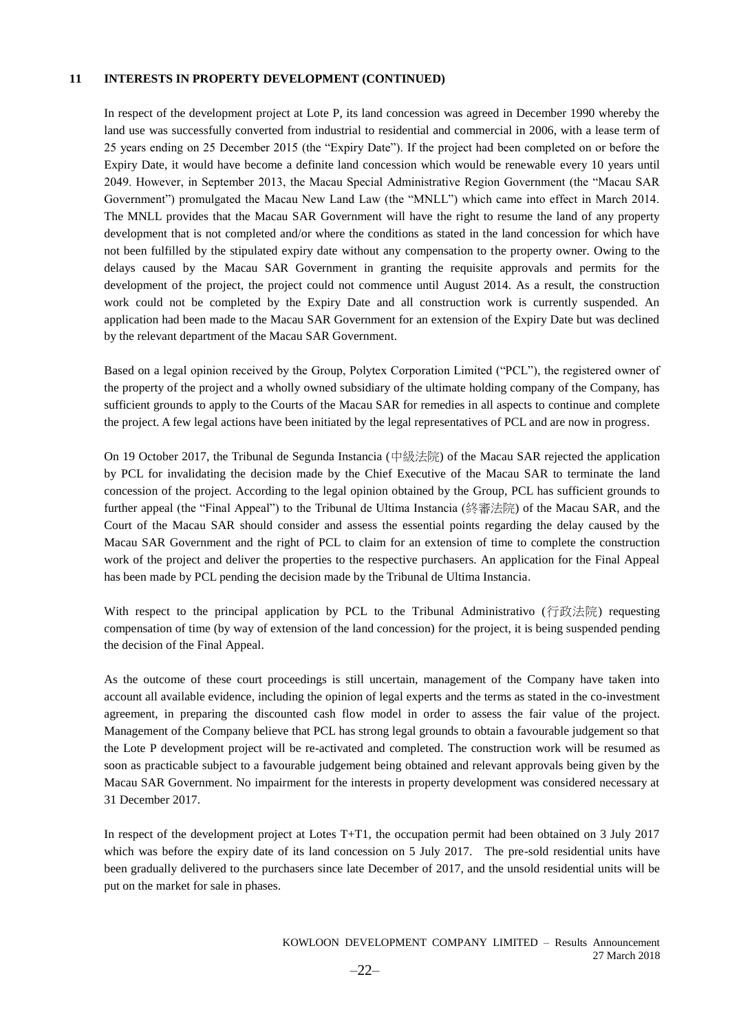#### **11 INTERESTS IN PROPERTY DEVELOPMENT (CONTINUED)**

In respect of the development project at Lote P, its land concession was agreed in December 1990 whereby the land use was successfully converted from industrial to residential and commercial in 2006, with a lease term of 25 years ending on 25 December 2015 (the "Expiry Date"). If the project had been completed on or before the Expiry Date, it would have become a definite land concession which would be renewable every 10 years until 2049. However, in September 2013, the Macau Special Administrative Region Government (the "Macau SAR Government") promulgated the Macau New Land Law (the "MNLL") which came into effect in March 2014. The MNLL provides that the Macau SAR Government will have the right to resume the land of any property development that is not completed and/or where the conditions as stated in the land concession for which have not been fulfilled by the stipulated expiry date without any compensation to the property owner. Owing to the delays caused by the Macau SAR Government in granting the requisite approvals and permits for the development of the project, the project could not commence until August 2014. As a result, the construction work could not be completed by the Expiry Date and all construction work is currently suspended. An application had been made to the Macau SAR Government for an extension of the Expiry Date but was declined by the relevant department of the Macau SAR Government.

Based on a legal opinion received by the Group, Polytex Corporation Limited ("PCL"), the registered owner of the property of the project and a wholly owned subsidiary of the ultimate holding company of the Company, has sufficient grounds to apply to the Courts of the Macau SAR for remedies in all aspects to continue and complete the project. A few legal actions have been initiated by the legal representatives of PCL and are now in progress.

On 19 October 2017, the Tribunal de Segunda Instancia (中級法院) of the Macau SAR rejected the application by PCL for invalidating the decision made by the Chief Executive of the Macau SAR to terminate the land concession of the project. According to the legal opinion obtained by the Group, PCL has sufficient grounds to further appeal (the "Final Appeal") to the Tribunal de Ultima Instancia (終審法院) of the Macau SAR, and the Court of the Macau SAR should consider and assess the essential points regarding the delay caused by the Macau SAR Government and the right of PCL to claim for an extension of time to complete the construction work of the project and deliver the properties to the respective purchasers. An application for the Final Appeal has been made by PCL pending the decision made by the Tribunal de Ultima Instancia.

With respect to the principal application by PCL to the Tribunal Administrativo (行政法院) requesting compensation of time (by way of extension of the land concession) for the project, it is being suspended pending the decision of the Final Appeal.

As the outcome of these court proceedings is still uncertain, management of the Company have taken into account all available evidence, including the opinion of legal experts and the terms as stated in the co-investment agreement, in preparing the discounted cash flow model in order to assess the fair value of the project. Management of the Company believe that PCL has strong legal grounds to obtain a favourable judgement so that the Lote P development project will be re-activated and completed. The construction work will be resumed as soon as practicable subject to a favourable judgement being obtained and relevant approvals being given by the Macau SAR Government. No impairment for the interests in property development was considered necessary at 31 December 2017.

In respect of the development project at Lotes T+T1, the occupation permit had been obtained on 3 July 2017 which was before the expiry date of its land concession on 5 July 2017. The pre-sold residential units have been gradually delivered to the purchasers since late December of 2017, and the unsold residential units will be put on the market for sale in phases.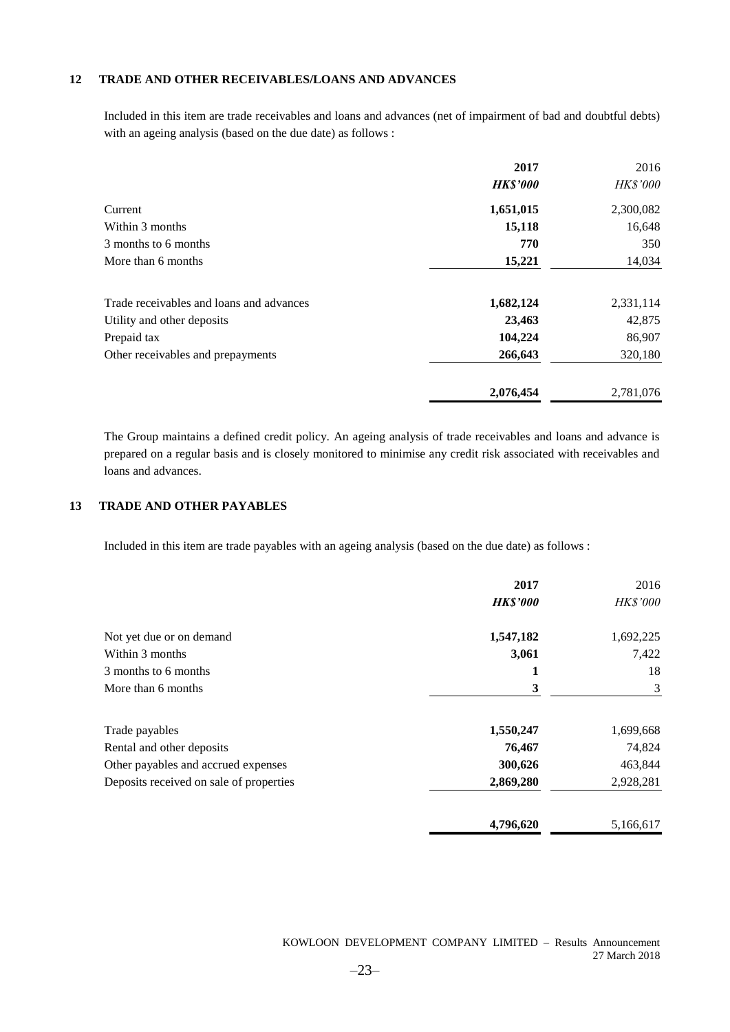#### **12 TRADE AND OTHER RECEIVABLES/LOANS AND ADVANCES**

Included in this item are trade receivables and loans and advances (net of impairment of bad and doubtful debts) with an ageing analysis (based on the due date) as follows :

|                                          | 2017            | 2016            |
|------------------------------------------|-----------------|-----------------|
|                                          | <b>HK\$'000</b> | <b>HK\$'000</b> |
| Current                                  | 1,651,015       | 2,300,082       |
| Within 3 months                          | 15,118          | 16,648          |
| 3 months to 6 months                     | 770             | 350             |
| More than 6 months                       | 15,221          | 14,034          |
| Trade receivables and loans and advances | 1,682,124       | 2,331,114       |
| Utility and other deposits               | 23,463          | 42,875          |
| Prepaid tax                              | 104,224         | 86,907          |
| Other receivables and prepayments        | 266,643         | 320,180         |
|                                          | 2,076,454       | 2,781,076       |

The Group maintains a defined credit policy. An ageing analysis of trade receivables and loans and advance is prepared on a regular basis and is closely monitored to minimise any credit risk associated with receivables and loans and advances.

#### **13 TRADE AND OTHER PAYABLES**

Included in this item are trade payables with an ageing analysis (based on the due date) as follows :

|                                         | 2017            | 2016            |
|-----------------------------------------|-----------------|-----------------|
|                                         | <b>HK\$'000</b> | <b>HK\$'000</b> |
| Not yet due or on demand                | 1,547,182       | 1,692,225       |
| Within 3 months                         | 3,061           | 7,422           |
| 3 months to 6 months                    | 1               | 18              |
| More than 6 months                      | 3               | 3               |
| Trade payables                          | 1,550,247       | 1,699,668       |
| Rental and other deposits               | 76,467          | 74,824          |
| Other payables and accrued expenses     | 300,626         | 463,844         |
| Deposits received on sale of properties | 2,869,280       | 2,928,281       |
|                                         | 4,796,620       | 5,166,617       |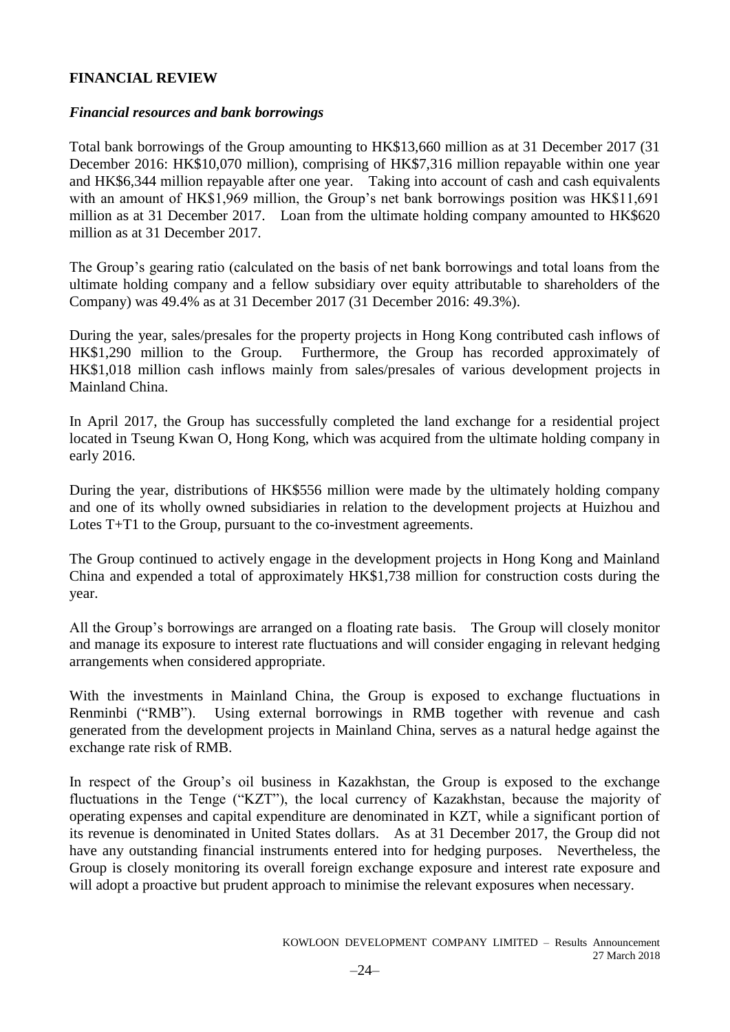### **FINANCIAL REVIEW**

### *Financial resources and bank borrowings*

Total bank borrowings of the Group amounting to HK\$13,660 million as at 31 December 2017 (31 December 2016: HK\$10,070 million), comprising of HK\$7,316 million repayable within one year and HK\$6,344 million repayable after one year. Taking into account of cash and cash equivalents with an amount of HK\$1,969 million, the Group's net bank borrowings position was HK\$11,691 million as at 31 December 2017. Loan from the ultimate holding company amounted to HK\$620 million as at 31 December 2017.

The Group's gearing ratio (calculated on the basis of net bank borrowings and total loans from the ultimate holding company and a fellow subsidiary over equity attributable to shareholders of the Company) was 49.4% as at 31 December 2017 (31 December 2016: 49.3%).

During the year, sales/presales for the property projects in Hong Kong contributed cash inflows of HK\$1,290 million to the Group. Furthermore, the Group has recorded approximately of HK\$1,018 million cash inflows mainly from sales/presales of various development projects in Mainland China.

In April 2017, the Group has successfully completed the land exchange for a residential project located in Tseung Kwan O, Hong Kong, which was acquired from the ultimate holding company in early 2016.

During the year, distributions of HK\$556 million were made by the ultimately holding company and one of its wholly owned subsidiaries in relation to the development projects at Huizhou and Lotes T+T1 to the Group, pursuant to the co-investment agreements.

The Group continued to actively engage in the development projects in Hong Kong and Mainland China and expended a total of approximately HK\$1,738 million for construction costs during the year.

All the Group's borrowings are arranged on a floating rate basis. The Group will closely monitor and manage its exposure to interest rate fluctuations and will consider engaging in relevant hedging arrangements when considered appropriate.

With the investments in Mainland China, the Group is exposed to exchange fluctuations in Renminbi ("RMB"). Using external borrowings in RMB together with revenue and cash generated from the development projects in Mainland China, serves as a natural hedge against the exchange rate risk of RMB.

In respect of the Group's oil business in Kazakhstan, the Group is exposed to the exchange fluctuations in the Tenge ("KZT"), the local currency of Kazakhstan, because the majority of operating expenses and capital expenditure are denominated in KZT, while a significant portion of its revenue is denominated in United States dollars. As at 31 December 2017, the Group did not have any outstanding financial instruments entered into for hedging purposes. Nevertheless, the Group is closely monitoring its overall foreign exchange exposure and interest rate exposure and will adopt a proactive but prudent approach to minimise the relevant exposures when necessary.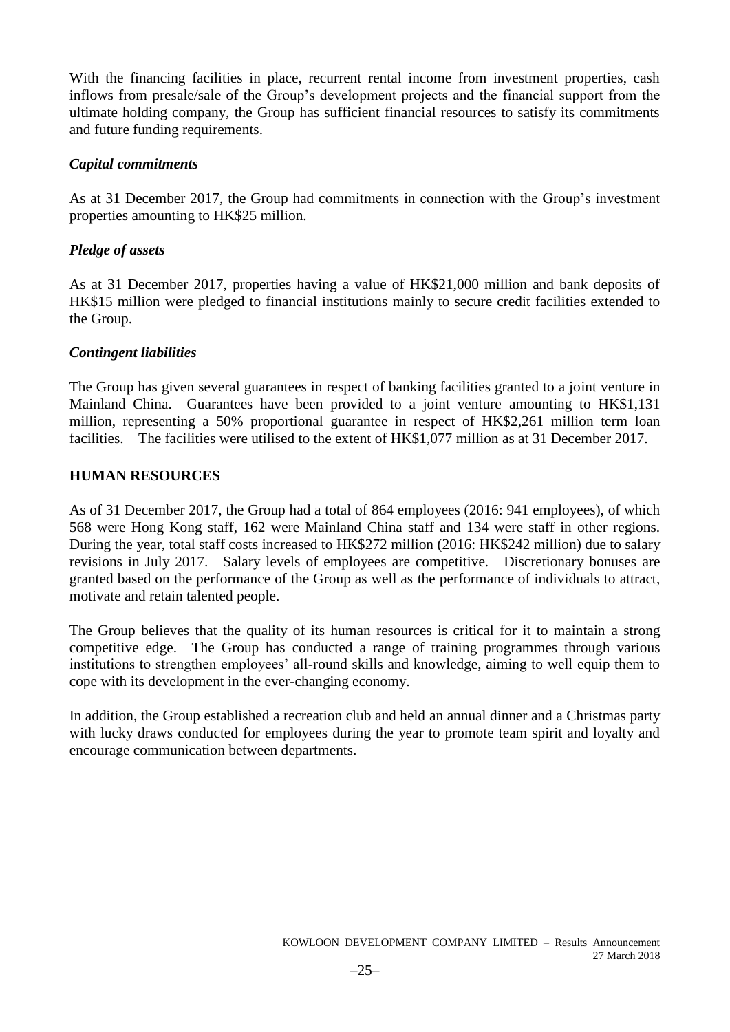With the financing facilities in place, recurrent rental income from investment properties, cash inflows from presale/sale of the Group's development projects and the financial support from the ultimate holding company, the Group has sufficient financial resources to satisfy its commitments and future funding requirements.

### *Capital commitments*

As at 31 December 2017, the Group had commitments in connection with the Group's investment properties amounting to HK\$25 million.

### *Pledge of assets*

As at 31 December 2017, properties having a value of HK\$21,000 million and bank deposits of HK\$15 million were pledged to financial institutions mainly to secure credit facilities extended to the Group.

### *Contingent liabilities*

The Group has given several guarantees in respect of banking facilities granted to a joint venture in Mainland China. Guarantees have been provided to a joint venture amounting to HK\$1,131 million, representing a 50% proportional guarantee in respect of HK\$2,261 million term loan facilities. The facilities were utilised to the extent of HK\$1,077 million as at 31 December 2017.

### **HUMAN RESOURCES**

As of 31 December 2017, the Group had a total of 864 employees (2016: 941 employees), of which 568 were Hong Kong staff, 162 were Mainland China staff and 134 were staff in other regions. During the year, total staff costs increased to HK\$272 million (2016: HK\$242 million) due to salary revisions in July 2017. Salary levels of employees are competitive. Discretionary bonuses are granted based on the performance of the Group as well as the performance of individuals to attract, motivate and retain talented people.

The Group believes that the quality of its human resources is critical for it to maintain a strong competitive edge. The Group has conducted a range of training programmes through various institutions to strengthen employees' all-round skills and knowledge, aiming to well equip them to cope with its development in the ever-changing economy.

In addition, the Group established a recreation club and held an annual dinner and a Christmas party with lucky draws conducted for employees during the year to promote team spirit and loyalty and encourage communication between departments.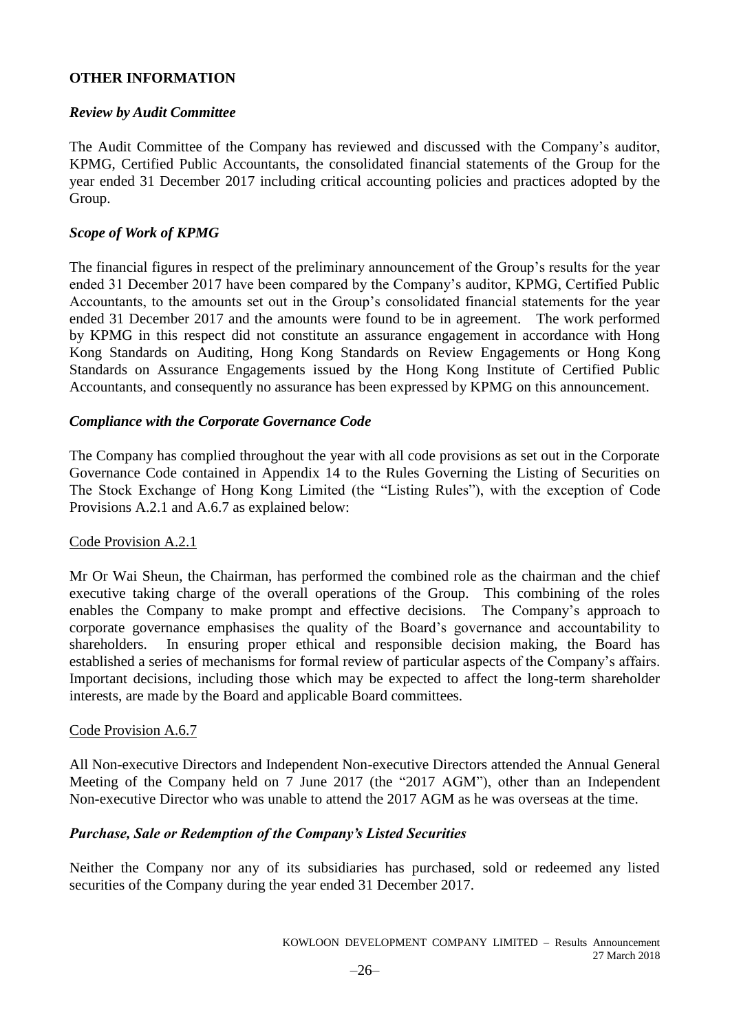### **OTHER INFORMATION**

### *Review by Audit Committee*

The Audit Committee of the Company has reviewed and discussed with the Company's auditor, KPMG, Certified Public Accountants, the consolidated financial statements of the Group for the year ended 31 December 2017 including critical accounting policies and practices adopted by the Group.

### *Scope of Work of KPMG*

The financial figures in respect of the preliminary announcement of the Group's results for the year ended 31 December 2017 have been compared by the Company's auditor, KPMG, Certified Public Accountants, to the amounts set out in the Group's consolidated financial statements for the year ended 31 December 2017 and the amounts were found to be in agreement. The work performed by KPMG in this respect did not constitute an assurance engagement in accordance with Hong Kong Standards on Auditing, Hong Kong Standards on Review Engagements or Hong Kong Standards on Assurance Engagements issued by the Hong Kong Institute of Certified Public Accountants, and consequently no assurance has been expressed by KPMG on this announcement.

### *Compliance with the Corporate Governance Code*

The Company has complied throughout the year with all code provisions as set out in the Corporate Governance Code contained in Appendix 14 to the Rules Governing the Listing of Securities on The Stock Exchange of Hong Kong Limited (the "Listing Rules"), with the exception of Code Provisions A.2.1 and A.6.7 as explained below:

### Code Provision A.2.1

Mr Or Wai Sheun, the Chairman, has performed the combined role as the chairman and the chief executive taking charge of the overall operations of the Group. This combining of the roles enables the Company to make prompt and effective decisions. The Company's approach to corporate governance emphasises the quality of the Board's governance and accountability to shareholders. In ensuring proper ethical and responsible decision making, the Board has established a series of mechanisms for formal review of particular aspects of the Company's affairs. Important decisions, including those which may be expected to affect the long-term shareholder interests, are made by the Board and applicable Board committees.

### Code Provision A.6.7

All Non-executive Directors and Independent Non-executive Directors attended the Annual General Meeting of the Company held on 7 June 2017 (the "2017 AGM"), other than an Independent Non-executive Director who was unable to attend the 2017 AGM as he was overseas at the time.

### *Purchase, Sale or Redemption of the Company's Listed Securities*

Neither the Company nor any of its subsidiaries has purchased, sold or redeemed any listed securities of the Company during the year ended 31 December 2017.